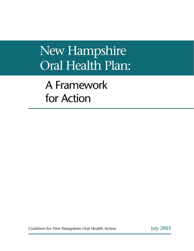# New Hampshire Oral Health Plan:

A Framework for Action

Coalition for New Hampshire Oral Health Action July 2003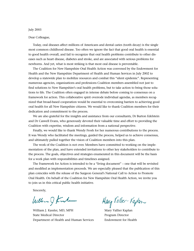#### July 2003

#### Dear Colleague,

Today, oral diseases affect millions of Americans and dental caries (tooth decay) is the single most common childhood disease. Too often we ignore the fact that good oral health is essential to good health overall, and fail to recognize that oral health problems contribute to other diseases such as heart disease, diabetes and stroke, and are associated with serious problems for newborns. And yet, what is most striking is that most oral disease is preventable.

The Coalition for New Hampshire Oral Health Action was convened by the Endowment for Health and the New Hampshire Department of Health and Human Services in July 2002 to develop a statewide plan to mobilize resources and combat this "silent epidemic". Representing numerous agencies, organizations and professions Coalition members assembled not just to find solutions to New Hampshire's oral health problems, but to take action to bring those solutions to life. The Coalition often engaged in intense debate before coming to consensus on a framework for action. This collaborative spirit overrode individual agendas, as members recognized that broad-based cooperation would be essential to overcoming barriers to achieving good oral health for all New Hampshire citizens. We would like to thank Coalition members for their dedication and commitment to the process.

We are also grateful for the insights and assistance from our consultants, Dr Burton Edelstein and Dr Caswell Evans, who generously devoted their valuable time and effort to providing the Coalition with expertise, wisdom and information from a national perspective.

Finally, we would like to thank Wendy Frosh for her numerous contributions to the process. It was Wendy who facilitated the meetings, guided the process, helped us to achieve consensus, and ultimately pulled together the vision of Coalition members into this plan.

The work of the Coalition is not over. Members have committed to working on the implementation of the plan, and have extended invitations to other key stakeholders to contribute to the process. The goals, objectives and strategies enumerated in this document will be the basis for a work plan with responsibilities and timelines assigned.

The Framework for Action is intended to be a "living document" – one that will be revisited and modified as implementation proceeds. We are especially pleased that the publication of this plan coincides with the release of the Surgeon General's National Call to Action to Promote Oral Health. On behalf of the Coalition for New Hampshire Oral Health Action, we invite you to join us in this critical public health initiative.

Sincerely,

Willen & Kurte

William J. Kassler, MD, MPH Mary Vallier Kaplan State Medical Director **Program Director** Program Director Department of Health and Human Services Endowment for Health

Mang Vallier-Kaplan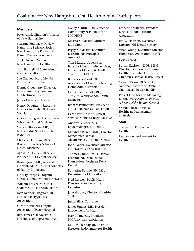### **Members**

Peter Antal, Children's Alliance of New Hampshire

Suzanne Boulter, MD, New Hampshire Pediatric Society, New Hampshire Dartmouth Family Practice Residency

Tricia Brooks, President, New Hampshire Healthy Kids

Tom Bunnell, Bi-State Primary Care Association

Sue Chollet, Board Member, Endowment for Health

Donna Clougherty, Director, Dental Auxiliary Program, NH Technical Institute

James Dickerson, DMD

Henry Dougherty, Executive Director (retired), NH Dental Society

Chester Douglass, DMD, Harvard School of Dental Medicine

Wendy Gladstone, MD, NH Pediatric Society, Exeter **Pediatrics** 

Michelle Henshaw, DDS, Boston University School of Dental Medicine

AJ "Skip" Homicz, DDS, Vice President, NH Dental Society

Russell Jones, MD, Associate Director, NH AHEC, NH Academy of Family Physicians

Lindsay Josephs, Program Specialist, Endowment for Health

William Kassler, MD, MPH, State Medical Director, DHHS

Joan Kenney-Fitzgerald, RDH, NH Dental Hygienists' Association

Glenn Klink, NH Hospital Association, Exeter Hospital

Rep. James MacKay, PhD, NH House of Representatives Nancy Martin, RDH, Office of Community & Public Health, NH DHHS

Melissa McAllister, Anthem Blue Cross

Peggy McAllister, Executive Director, NH Principals Association

Tom Menard, Supervisor, Bureau of Community Services, Division of Elderly & Adult Services, NH DHHS

Bruce Moorehead, NH Association of Counties Nursing Home Administrators

Carole Palmer, EdD, RD, Tufts University School Dental Medicine

Barbara Pamboukes, President, NH School Nurses Association

Caroli Parisi, VP of Clinical Services, Concord Regional VNA

Andrew Pelletier, MD, Epidemiologist, NH DHHS

Marybeth Pierce, DMD, Director, Manchester Dental Alliance/Poisson Dental Center

John Poirier, Executive Director, NH Health Care Association

Thomas Quinn, DMD, Dental Director, NE Delta Dental Foundation Northeast Delta Dental

Katherine Rannie, RN, MSc Department of Education

Fred Rusczek, Public Health Director, Manchester Health Department

Jane Shapiro, Director, Cheshire Smiles

Juana Silva, Consumer

James Squires, MD, President, Endowment for Health

Harve Tancrede, President, NH Principals Association

Mary Vallier Kaplan, Program Director, Endowment for Health Katherine Wheeler, President Elect, NH Public Health Association

Jim Williamson, Executive Director, NH Dental Society

Susan Young, Executive Director, Home Care Association of NH

#### **Consultants**

Burton Edelstein, DDS, MPH, Director, Division of Community Health; Columbia University Children's Dental Health Project

Caswell Evans, DDS, MPH, National Institute of Dental & Craniofacial Research, NIH

Project Director and Managing Editor, *Oral Health in America: A Report of the Surgeon General*

Wendy Frosh, Principal, Healthcare Management Strategies

#### **Staff**

Sue Fulton, Endowment for Health

Peg LePage, Endowment for Health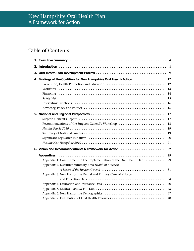# New Hampshire Oral Health Plan: A Framework for Action

# Table of Contents

|                                                                      | $\overline{4}$ |
|----------------------------------------------------------------------|----------------|
|                                                                      | 8              |
|                                                                      | 9              |
| 4. Findings of the Coalition for New Hampshire Oral Health Action    | 12             |
|                                                                      | 12             |
|                                                                      | 13             |
|                                                                      | 14             |
|                                                                      | 15             |
|                                                                      | 16             |
|                                                                      | 16             |
|                                                                      | 17             |
|                                                                      | 17             |
| Recommendations of the Surgeon General's Workshop                    | 18             |
|                                                                      | 19             |
|                                                                      | 19             |
|                                                                      | 20             |
|                                                                      | 21             |
| 6. Vision and Recommendations: A Framework for Action                | 22             |
|                                                                      | 29             |
| Appendix 1. Commitment to the Implementation of the Oral Health Plan | 29             |
| Appendix 2. Executive Summary, Oral Health in America:               |                |
|                                                                      | 31             |
| Appendix 3. New Hampshire Dental and Primary Care Workforce          |                |
|                                                                      | 34             |
|                                                                      | 40             |
|                                                                      | 43             |
|                                                                      | 47             |
| Appendix 7. Distribution of Oral Health Resources                    | 48             |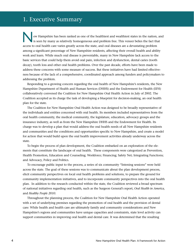# 1. Executive Summary

EV ew Hampshire has been ranked as one of the healthiest and wealthiest states in the nation, and<br>is seen by many as relatively homogeneous and problem free. This veneer belies the fact that<br>access to oral health care vari is seen by many as relatively homogeneous and problem free. This veneer belies the fact that access to oral health care varies greatly across the state, and oral diseases are a devastating problem among a significant percentage of New Hampshire residents, affecting their overall health and ability work and learn. While much oral disease is preventable, many in New Hampshire lack access to the basic services that could help them avoid oral pain, infection and dysfunction, dental caries (tooth decay), tooth loss and other oral health problems. Over the past decade, efforts have been made to address these concerns with some measure of success. But these initiatives have had limited effectiveness because of the lack of a comprehensive, coordinated approach among funders and policymakers to addressing the problem.

Responding to a growing concern regarding the oral health of New Hampshire's residents, the New Hampshire Department of Health and Human Services (DHHS) and the Endowment for Health (EFH) collaboratively convened the Coalition for New Hampshire Oral Health Action in July of 2002. The Coalition accepted as its charge the task of developing a blueprint for decision-making, an oral health plan for the state.

The Coalition for New Hampshire Oral Health Action was designed to be broadly representative of the individuals and entities concerned with oral health. Its members included representatives from the oral health community, the medical community, the legislature, education, advocacy groups and the insurance industry, as well as from the New Hampshire DHHS and the Endowment for Health. Its charge was to develop a plan that would address the oral health needs of all New Hampshire residents and communities and the conditions and opportunities specific to New Hampshire, and create a model for action that would build upon the oral health improvement activities already underway across the state.

To begin the process of plan development, the Coalition embarked on an exploration of the elements that constitute the landscape of oral health. These components were categorized as Prevention, Health Promotion, Education and Counseling; Workforce; Financing; Safety Net; Integrating Functions; and Advocacy, Policy and Politics.

To encourage public input to the process, a series of six community "listening sessions" were held across the state. The goal of these sessions was to communicate about the plan development process, elicit community perspectives on local oral health problems and solutions, to prepare the ground for community implementation initiatives, and to incorporate community perspectives into the oral health plan. In addition to the research conducted within the state, the Coalition reviewed a broad spectrum of national initiatives regarding oral health, such as the Surgeon General's report, *Oral Health in America,* and *Healthy People 2010*.

Throughout the planning process, the Coalition for New Hampshire Oral Health Action operated with a set of underlying premises regarding the promotion of oral health and the provision of dental care: While health and health care are ultimately family and community considerations and New Hampshire's regions and communities have unique capacities and constraints, state level activity can support communities in improving oral health and dental care. It was determined that the resulting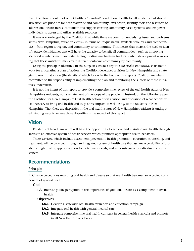plan, therefore, should not only identify a "standard" level of oral health for all residents, but should also articulate priorities for both statewide and community-level action; identify tools and resources to address oral health needs; coordinate and support existing community-based systems; and empower individuals to access and utilize available resources.

It was acknowledged by the Coalition that while there are common underlying issues and problems across New Hampshire, variation exists – in terms of unique needs, available resources and competencies – from region to region, and community to community. This means that there is the need to identify statewide initiatives that will have the capacity to benefit all communities – such as improving Medicaid reimbursement and establishing funding mechanisms for local system development – knowing that these initiatives may create different outcomes community by community.

Using the principles identified in the Surgeon General's report, *Oral Health in America,* as its framework for articulating a plan of action, the Coalition developed a vision for New Hampshire and strategies to reach that vision (the details of which follow in the body of this report). Coalition members committed to the responsibility of implementing the plan and monitoring the success of those initiatives undertaken.

It is not the intent of this report to provide a comprehensive review of the oral health status of New Hampshire's residents, nor a restatement of the scope of the problem. Instead, on the following pages, the Coalition for New Hampshire Oral Health Action offers a vision and discussion of what actions will be necessary to bring oral health and its positive impact on well-being, to the residents of New Hampshire. That there are disparities in the oral health status of New Hampshire residents is undisputed. Finding ways to reduce those disparities is the subject of this report.

# **Vision**

Residents of New Hampshire will have the opportunity to achieve and maintain oral health through access to an effective system of health services which promotes appropriate health behaviors.

These services, which include assessment, prevention, health promotion, education, counseling, and treatment, will be provided through an integrated system of health care that assures accessibility, affordability, high quality, appropriateness to individuals' needs, and responsiveness to individuals' circumstances.

# **Recommendations**

#### **Principle**

**I.** Change perceptions regarding oral health and disease so that oral health becomes an accepted component of general health.

#### **Goal**

**I.A.** Increase public perception of the importance of good oral health as a component of overall health.

#### **Objectives**

- **I.A.1.** Develop a statewide oral health awareness and education campaign.
- **I.A.2.** Integrate oral health with general medical care.
- **I.A.3.** Integrate comprehensive oral health curricula in general health curricula and promote in all New Hampshire schools.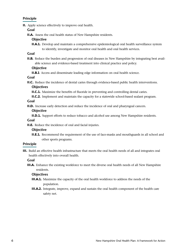### **Principle**

**II.** Apply science effectively to improve oral health.

#### **Goal**

**II.A.** Assess the oral health status of New Hampshire residents.

### **Objective**

**II.A.1.** Develop and maintain a comprehensive epidemiological oral health surveillance system to identify, investigate and monitor oral health and oral health services.

### **Goal**

**II.B.** Reduce the burden and progression of oral diseases in New Hampshire by integrating best available science and evidence-based treatment into clinical practice and policy.

### **Objective**

**II.B.1** Access and disseminate leading edge information on oral health science.

### **Goal**

**II.C.** Reduce the incidence of dental caries through evidence-based public health interventions. **Objectives**

**II.C.1.** Maximize the benefits of fluoride in preventing and controlling dental caries.

**II.C.2.** Implement and maintain the capacity for a statewide school-based sealant program.

### **Goal**

**II.D.** Increase early detection and reduce the incidence of oral and pharyngeal cancers.

### **Objective**

**II.D.1.** Support efforts to reduce tobacco and alcohol use among New Hampshire residents.

**Goal**

**II.E.** Reduce the incidence of oral and facial injuries.

### **Objective**

**II.E.1.** Recommend the requirement of the use of face-masks and mouthguards in all school and other sports programs.

### **Principle**

**III.** Build an effective health infrastructure that meets the oral health needs of all and integrates oral health effectively into overall health.

**Goal**

**III.A.** Enhance the existing workforce to meet the diverse oral health needs of all New Hampshire residents.

### **Objectives**

- **III.A.1.** Maximize the capacity of the oral health workforce to address the needs of the population.
- **III.A.2.** Integrate, improve, expand and sustain the oral health component of the health care safety net.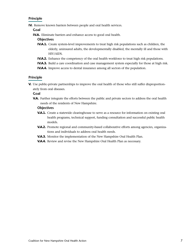### **Principle**

**IV.** Remove known barriers between people and oral health services.

### **Goal**

**IV.A.** Eliminate barriers and enhance access to good oral health.

### **Objectives**

- **IV.A.1.** Create system-level improvements to treat high risk populations such as children, the elderly, uninsured adults, the developmentally disabled, the mentally ill and those with HIV/AIDS.
- **IV.A.2.** Enhance the competency of the oral health workforce to treat high risk populations.
- **IV.A.3.** Build a care coordination and case management system especially for those at high risk.
- **IV.A.4.** Improve access to dental insurance among all sectors of the population.

# **Principle**

**V.** Use public-private partnerships to improve the oral health of those who still suffer disproportionately from oral diseases.

### **Goal**

**V.A.** Further integrate the efforts between the public and private sectors to address the oral health needs of the residents of New Hampshire.

### **Objectives**

- **V.A.1.** Create a statewide clearinghouse to serve as a resource for information on existing oral health programs, technical support, funding consultation and successful public health models.
- **V.A.2.** Promote regional and community-based collaborative efforts among agencies, organizations and individuals to address oral health needs.
- **V.A.3.** Monitor the implementation of the New Hampshire Oral Health Plan.
- **V.A.4.** Review and revise the New Hampshire Oral Health Plan as necessary.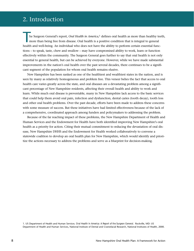# 2. Introduction

The Surgeon General's report, *Oral Health in America,*<sup>1</sup> defines oral health as more than healthy teeth, more than being free from disease. Oral health is a positive condition that is integral to general health and well-being. An individual who does not have the ability to perform certain essential functions – to speak, taste, chew and swallow – may have compromised ability to work, learn or function effectively within the community. The Surgeon General goes further to say that oral health is not only essential to general health, but can be achieved by everyone. However, while we have made substantial improvements in the nation's oral health over the past several decades, there continues to be a significant segment of the population for whom oral health remains elusive.

New Hampshire has been ranked as one of the healthiest and wealthiest states in the nation, and is seen by many as relatively homogeneous and problem free. This veneer belies the fact that access to oral health care varies greatly across the state, and oral diseases are a devastating problem among a significant percentage of New Hampshire residents, affecting their overall health and ability to work and learn. While much oral disease is preventable, many in New Hampshire lack access to the basic services that could help them avoid oral pain, infection and dysfunction, dental caries (tooth decay), tooth loss and other oral health problems. Over the past decade, efforts have been made to address these concerns with some measure of success. But these initiatives have had limited effectiveness because of the lack of a comprehensive, coordinated approach among funders and policymakers to addressing the problem.

Because of the far reaching impact of these problems, the New Hampshire Department of Health and Human Services and the Endowment for Health have both identified improving New Hampshire's oral health as a priority for action. Citing their mutual commitment to reducing the devastation of oral disease, New Hampshire DHHS and the Endowment for Health worked collaboratively to convene a statewide coalition to develop an oral health plan for New Hampshire, which would identify and prioritize the actions necessary to address the problems and serve as a blueprint for decision-making.

1. US Department of Health and Human Services. *Oral Health In America: A Report of the Surgeon General.* Rockville, MD: US Department of Health and Human Services, National Institute of Dental and Craniofacial Research, National Institutes of Health, 2000.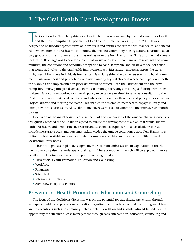he Coalition for New Hampshire Oral Health Action was convened by the Endowment for Health and the New Hampshire Department of Health and Human Services in July of 2002. It was designed to be broadly representative of individuals and entities concerned with oral health, and included members from the oral health community, the medical community, the legislature, education, advocacy groups and the insurance industry, as well as from the New Hampshire DHHS and the Endowment for Health. Its charge was to develop a plan that would address all New Hampshire residents and communities, the conditions and opportunities specific to New Hampshire and create a model for action that would add value to the oral health improvement activities already underway across the state.

By assembling these individuals from across New Hampshire, the conveners sought to build commitment, raise awareness and promote collaboration among key stakeholders whose participation in both the planning and implementation processes would be critical. Both the Endowment and the New Hampshire DHHS participated actively in the Coalition's proceedings on an equal footing with other invitees. Nationally-recognized oral health policy experts were retained to serve as consultants to the Coalition and an experienced facilitator and advocate for oral health service and policy issues served as Project Director and meeting facilitator. This enabled the assembled members to engage in lively and often provocative discussion. All Coalition members were asked to commit to the intensive six-month process.

Discussion at the initial session led to refinement and elaboration of the original charge. Consensus was quickly reached as the Coalition agreed to pursue the development of a plan that would address both oral health and dental care; be realistic and sustainable; capitalize on all available resources; include measurable goals and outcomes; acknowledge the unique conditions across New Hampshire; utilize the best available national and state information and data; and provide flexibility to meet local/community needs.

To begin the process of plan development, the Coalition embarked on an exploration of the elements that comprise the landscape of oral health. These components, which will be explored in more detail in the Findings section of this report, were categorized as

- Prevention, Health Promotion, Education and Counseling
- Workforce
- Financing
- Safety Net
- Integrating Functions
- Advocacy, Policy and Politics

# **Prevention, Health Promotion, Education and Counseling**

The focus of the Coalition's discussion was on the potential for true disease prevention through widespread public and professional education regarding the importance of oral health to general health and interventions such as community water supply fluoridation and sealants. Also addressed was the opportunity for effective disease management through early intervention, education, counseling and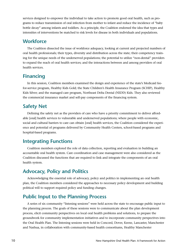services designed to empower the individual to take action to promote good oral health, such as programs to reduce transmission of oral infection from mother to infant and reduce the incidence of "baby bottle decay" among infants and toddlers. As a principle, the Coalition endorsed the idea that types and intensities of interventions be matched to risk levels for disease in both individuals and populations.

# **Workforce**

The Coalition dissected the issue of workforce adequacy, looking at current and projected numbers of oral health professionals; their types, diversity and distribution across the state; their competency training for the unique needs of the underserved populations; the potential to utilize "non-dental" providers to expand the reach of oral health services; and the interactions between and among providers of oral health services.

# **Financing**

In this session, Coalition members examined the design and experience of the state's Medicaid feefor-service program, Healthy Kids Gold; the State Children's Health Insurance Program (SCHIP), Healthy Kids Silver; and the managed care program, Northeast Delta Dental (NEDD) Kids. They also reviewed the commercial insurance market and self-pay components of the financing system.

# **Safety Net**

Defining the safety net as the providers of care who have a priority commitment to deliver affordable [oral] health services to vulnerable and underserved populations; where people with economic, social and cultural barriers to care can obtain [oral] health services, the Coalition considered the experience and potential of programs delivered by Community Health Centers, school-based programs and hospital-based programs.

# **Integrating Functions**

Coalition members explored the role of data collection, reporting and evaluation in building an accountable oral health system. Care coordination and case management were also considered as the Coalition discussed the functions that are required to link and integrate the components of an oral health system.

# **Advocacy, Policy and Politics**

Acknowledging the essential role of advocacy, policy and politics in implementing an oral health plan, the Coalition members considered the approaches to necessary policy development and building political will to support required policy and funding changes.

# **Public Input to the Planning Process**

A series of six community "listening sessions" were held across the state to encourage public input to the planning process. The goals of these sessions were to communicate about the plan development process, elicit community perspectives on local oral health problems and solutions, to prepare the groundwork for community implementation initiatives and to incorporate community perspectives into the Oral Health Plan. The listening sessions were held in Concord, Dover, Keene, Lancaster, Manchester and Nashua, in collaboration with community-based health consortiums, Healthy Manchester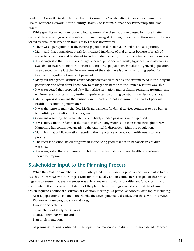Leadership Council, Greater Nashua Healthy Community Collaborative, Alliance for Community Health, Strafford Network, North Country Health Consortium, Monadnock Partnership and Pilot Health.

While specifics varied from locale to locale, among the observations expressed by those in attendance at these meetings several consistent themes emerged. Although these perceptions may not be validated by data, their repetition from site to site was noteworthy.

- There was a perception that the general population does not value oral health as a priority.
- Many said that populations at risk for increased incidence of oral diseases because of a lack of access to prevention and treatment include children, elderly, low income, disabled, and homeless.
- It was suggested that there is a shortage of dental personnel dentists, hygienists, and assistants available to treat not only the indigent and high risk populations, but also the general population, as evidenced by the fact that in many areas of the state there is a lengthy waiting period for treatment, regardless of source of payment.
- Many felt that general dentists aren't adequately trained to handle the extreme need in the indigent population and often don't know how to manage this need with the limited resources available.
- It was suggested that proposed New Hampshire legislation and regulation regarding treatment and environmental concerns may further impede access by putting constraints on dental practice.
- Many expressed concerns that business and industry do not recognize the impact of poor oral health on economic performance.
- It was the sense of many that low Medicaid payment for dental services continues to be a barrier to dentists' participation in the program.
- Concerns regarding the sustainability of publicly-funded programs were expressed.
- It was noted that the fact that fluoridation of drinking water is not consistent throughout New Hampshire has contributed greatly to the oral health disparities within the population.
- Many felt that public education regarding the importance of good oral health needs to be a priority.
- The success of school-based programs in introducing good oral health behaviors in children was cited.
- It was suggested that communication between the Legislature and oral health professionals should be improved.

# **Stakeholder Input to the Planning Process**

While the Coalition members actively participated in the planning process, each was invited to discuss his or her views with the Project Director individually and in confidence. The goal of these meetings was to ensure that every member was able to express individual priorities and/or concerns, and contribute to the process and substance of the plan. These meetings generated a short list of issues which required additional discussion at Coalition meetings. Of particular concern were topics including:

At-risk populations – children, the elderly, the developmentally disabled, and those with HIV/AIDS; Workforce – numbers, capacity and roles;

- Fluoride and sealants;
- Sustainability of safety net services;
- Medicaid reimbursement; and
- Plan implementation.

As planning sessions continued, these topics were reopened and discussed in more detail. Concerns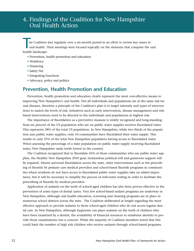# 4. Findings of the Coalition for New Hampshire Oral Health Action

he Coalition met regularly over a six-month period in an effort to review key issues in oral health. Their meetings were focused topically on the elements that comprise the oral health landscape:

- Prevention, health promotion and education
- Workforce
- Financing
- Safety Net
- Integrating Functions
- Advocacy, policy and politics

# **Prevention, Health Promotion and Education**

Prevention, health promotion and education clearly represent the most cost-effective means to improving New Hampshire's oral health. Not all individuals and populations are at the same risk for oral diseases, therefore a principle of the Coalition's plan is to target intensity and types of interventions to match the levels of risk. Initiatives such as early intervention, disease management and riskbased interventions need to be directed to the individuals and populations at highest risk.

The importance of fluoridation as a preventive measure is widely recognized and long-standing. Sixty-six percent of the US population who are on public water supplies receives fluoridated water. This represents 58% of the total US population. In New Hampshire, while two thirds of the population uses public water supplies, only 10 communities have fluoridated their water supply. This results in only 25% of the total New Hampshire population having access to fluoridated water. When assessing the percentage of a state population on public water supply receiving fluoridated water, New Hampshire ranks tenth lowest in the country.

The Coalition recognized that to fluoridate 65% of those communities who use public water supplies, the Healthy New Hampshire 2010 goal, tremendous political will and grassroots support will be required. Absent universal fluoridation across the state, other interventions such as the prescribing of fluoride by primary care medical providers and school-based fluoride programs in communities where residents do not have access to fluoridated public water supplies take on added importance, but it will be necessary to simplify the process of well-water testing in order to facilitate the prescribing of fluoride by medical providers.

Application of sealants on the teeth of school-aged children has also been proven effective in the prevention of some types of dental caries. Very few school-based sealant programs are underway in New Hampshire, although oral health education, screening and cleaning programs are in place in numerous school districts across the state. The Coalition deliberated at length regarding the most effective approach to provide sealants to those school-aged children who do not access regular dental care. In New Hampshire, although hygienists can place sealants on the teeth of children who have been examined by a dentist, the availability of financial resources to reimburse dentists to provide those examinations was a concern. While the majority of Coalition members noted that this could limit the number of high risk children who receive sealants through school-based programs,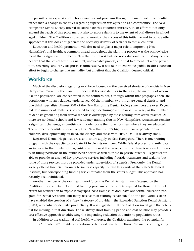the pursuit of an expansion of school-based sealant programs through the use of volunteer dentists, rather than a change in the rules regarding supervision was agreed to as a compromise. The New Hampshire Dental Society offered to coordinate this volunteer initiative, in an effort to not only expand the reach of this program, but also to expose dentists to the extent of oral disease in schoolaged children. The Coalition also agreed to monitor the success of this initiative and to pursue other approaches if this does not generate the necessary delivery of sealants to at-risk children.

Education and health promotion will also need to play a major role in improving New Hampshire's oral health. A common thread throughout the planning process was the acknowledgement that a significant number of New Hampshire residents do not value oral health. Many people believe that the loss of teeth is a natural, unavoidable process, and that treatment, let alone prevention, screening, and early diagnosis, is unnecessary. It will take an enormous public health education effort to begin to change that mentality, but an effort that the Coalition deemed critical.

# **Workforce**

Much of the discussion regarding workforce focused on the perceived shortage of dentists in New Hampshire. Currently there are just under 900 licensed dentists in the state, the majority of whom, like the population, are concentrated in the southern tier, although within that geography there are populations who are relatively underserved. Of that number, two-thirds are general dentists, and one-third, specialists. Almost 50% of the New Hampshire Dental Society's members are over 50 years old. The number of dentists is projected to begin declining over the next five years, as the number of dentists graduating from dental schools is outstripped by those retiring from active practice. As there are no dental schools and few residency training slots in New Hampshire, recruitment remains a significant challenge, as dentists commonly locate their practices near where they are educated. The number of dentists who actively treat New Hampshire's highly vulnerable populations – children, developmentally disabled, the elderly, and those with HIV/AIDS – is relatively small.

Registered Dental Hygienists are also in short supply in New Hampshire. There is one training program with the capacity to graduate 28 hygienists each year. While federal projections anticipate an increase in the number of hygienists over the next five years, currently, there is reported difficulty in filling positions in the public health sector as well as those in private practice. Hygienists are able to provide an array of key preventive services including fluoride treatments and sealants, but some of those services must be provided under supervision of a dentist. Previously, the Dental Society offered financial resources to increase capacity to train hygienists at the state's Technical Institute, but corresponding funding was eliminated from the state's budget. This approach has recently been reinitiated.

Another member of the oral health workforce, the Dental Assistant, was discussed by the Coalition in some detail. No formal training program or licensure is required for those in this field, except for certification to expose radiographs. New Hampshire does have one formal education program for Dental Assistants, but many receive their training "chair-side," on the job. Various states have enabled the creation of a "new" category of provider - the Expanded Function Dental Assistant (EFDA) – to enhance dentists' productivity. It was suggested that the Coalition investigate the potential for moving in that direction. The relatively short training period and cost of labor may provide a cost-effective approach to addressing the impending reduction in dentist-to-population ratios.

In addition to the traditional oral health workforce, the Coalition examined the potential for utilizing "non-dental" providers to perform certain oral health functions. The merits of integrating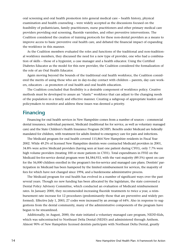oral screening and oral health promotion into general medical care – health history, physical examination and health counseling – were widely accepted as the discussions focused on the feasibility of pediatricians, family practitioners, nurse practitioners and other primary medical care providers providing oral screening, fluoride varnishes, and other preventive interventions. The Coalition considered the creation of training protocols for these non-dental providers as a means to improve access to basic preventive oral health care, and debated the financial impact of expanding the workforce in this manner.

As the Coalition members evaluated the roles and functions of the traditional and non-traditional workforce members, they discussed the need for a new type of provider, one who had a combination of skills – those of a hygienist, a case manager and a health educator. Using the Certified Diabetes Educator as the model for this new provider, the Coalition considered the formalization of the role of an Oral Health Educator.

Again moving beyond the bounds of the traditional oral health workforce, the Coalition considered the merits of using those who are in day-to-day contact with children – parents, day care workers, educators – as promoters of oral health and oral health education.

The Coalition concluded that flexibility is a desirable component of workforce policy. Creative methods must be developed to assure an "elastic" workforce that can adjust to the changing needs of the population in a timely and effective manner. Creating a subgroup of appropriate leaders and policymakers to monitor and address these issues was deemed a priority.

# **Financing**

Financing for oral health services in New Hampshire comes from a number of sources – commercial dental insurance, individual payment, Medicaid (traditional fee for service, as well as voluntary managed care) and the State Children's Health Insurance Program (SCHIP). Benefits under Medicaid are federally mandated for children, with treatment for adults limited to emergency care for pain and infections.

The Medicaid program for oral health covered 115,864 New Hampshire residents in Fiscal Year 2002. While 49.2% of licensed New Hampshire dentists were contracted Medicaid providers in 2001, 34.8% were active Medicaid providers (having seen at least one patient during CY01), only 7.7% were high volume providers (treating 100 or more patients in CY01). Total expenditures in FY02 on the Medicaid fee-for-service dental program were \$4,584,933, with the vast majority (89.5%) spent on care for the 56,000 children enrolled in the program's fee-for-service and managed care plans. Dentists' participation in Medicaid has been hampered by the limited reimbursement for services, the majority of fees for which have not changed since 1994, and a burdensome administrative process.

The Medicaid program for oral health has evolved in a number of significant ways over the past several years. Though no new funding has been allocated by the legislature, the state convened a Dental Policy Advisory Committee, which conducted an evaluation of Medicaid reimbursement rates. In January 2000, they recommended increasing fluoride treatments to twice a year, a reimbursement rate increase for 12 procedures (predominantly those that are preventive and widely performed). Effective July 1, 2003, 27 codes were increased by an average of 64%. Also in response to suggestions from the dental community, many of the administrative components of the program have begun to be streamlined.

Additionally, in August, 2000, the state initiated a voluntary managed care program, NEDD-Kids, which was subcontracted to Northeast Delta Dental (NEDD) and administered through Anthem. Almost 90% of New Hampshire licensed dentists participate with Northeast Delta Dental, greatly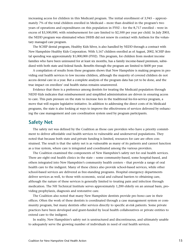increasing access for children in this Medicaid program. The initial enrollment of 3,945 – approximately 7% of the total children enrolled in Medicaid – more than doubled in the program's two years of operations and expenditures on this population in FY02 – for the 8,717 enrolled – were in excess of \$3,500,000, with reimbursement for care limited to \$2,500 per year per child. In July 2003, the NEDD program was eliminated when DHHS did not renew its contract with Anthem for the voluntary managed care program.

The SCHIP dental program, Healthy Kids Silver, is also handled by NEDD through a contract with New Hampshire Healthy Kids Corporation. With 5,167 children enrolled as of August, 2002, SCHIP dental spending was approximately \$1,000,000 (FY02). This program, for children from modest income families who have been uninsured for at least six months, has a family income-based premium, subsidized with both state and federal funds. Benefits through the program are limited to \$600 per year.

A compilation of results from these programs shows that New Hampshire is making progress in providing oral health services to low income children, although the majority of covered children do not access dental care in a year. But a complete analysis of the program data has yet to be done, and the true impact on enrollees' oral health status remains unanswered.

Evidence that there is a preference among dentists for treating the Medicaid population through NEDD Kids indicates that reimbursement and simplified administration are drivers in ensuring access to care. This puts pressure on the state to increase fees in the traditional fee-for-service program, a move that will require legislative initiative. In addition to addressing the direct costs of its Medicaid programs, the state is also looking at ways to improve the effectiveness of services delivered by enhancing the case management and care coordination system used by program participants.

# **Safety Net**

The safety net was defined by the Coalition as those care providers who have a priority commitment to deliver affordable oral health services to vulnerable and underserved populations. They noted that because both state and private funding is limited, resources for care are often constrained. The result is that the safety net is as vulnerable as many of its patients and cannot function as a true system, where care is integrated and coordinated among the various providers.

The Coalition examined the components of New Hampshire's safety net for oral health services. There are eight oral health clinics in the state – some community-based, some hospital-based, and others integrated into New Hampshire's community health centers – that provide a range of oral health care to the indigent. Many of these clinics also provide school-based services, while other school-based services are delivered as free-standing programs. Hospital emergency departments deliver services as well, to those with economic, social and cultural barriers to obtaining care, although the nature of these services is generally limited to treating pain and infection through medication. The NH Technical Institute serves approximately 1,200 elderly on an annual basis, providing prophylaxis, diagnosis and restorative care.

The Coalition also noted that many New Hampshire dentists provide pro bono care in their offices. Often the work of these dentists is coordinated through a case management system or community program, but many dentists offer services directly to specific at-risk patients. Some private practices have been developed and grant-funded by local health collaboratives or private entities to extend care to the indigent.

In reality, New Hampshire's safety net is unstructured and discontinuous, and ultimately unable to adequately serve the growing number of individuals in need of oral health services.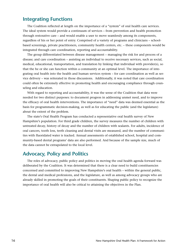# **Integrating Functions**

The Coalition reflected at length on the importance of a "system" of oral health care services. The ideal system would provide a continuum of services – from prevention and health promotion through restorative care – and would enable a user to move seamlessly among its components, regardless of his or her point of entry. Comprised of a variety of programs and clinicians – schoolbased screenings, private practitioners, community health centers, etc. – these components would be integrated through care coordination, reporting and accountability.

The group differentiated between disease management – managing the risk for and process of a disease; and care coordination – assisting an individual to receive necessary services, such as social, medical, educational, transportation, and translation by linking that individual with provider(s), so that the he or she can function within a community at an optimal level. The importance of integrating oral health into the health and human services system – for care coordination as well as service delivery – was reiterated in those discussions. Additionally, it was noted that care coordination could often be extremely effective in promoting health and encouraging compliance through counseling and education.

With regard to reporting and accountability, it was the sense of the Coalition that data were needed for two distinct purposes: to document progress in addressing unmet need, and to improve the efficacy of oral health interventions. The importance of "need" data was deemed essential as the basis for programmatic decision-making, as well as for educating the public (and the legislature) about the extent of the problem.

The state's Oral Health Program has conducted a representative oral health survey of New Hampshire's population. For third grade children, the survey measures the number of children with untreated decay, history of decay and the number of children with sealants. For adults, incidence of oral cancers, tooth loss, teeth cleaning and dental visits are measured, and the number of communities with fluoridated water is tracked. Annual assessments of established school, hospital and community-based dental programs' data are also performed. And because of the sample size, much of the data cannot be extrapolated to the local level.

# **Advocacy, Policy and Politics**

The roles of advocacy, public policy and politics in moving the oral health agenda forward was deliberated by the Coalition. It was determined that there is a clear need to build constituencies concerned and committed to improving New Hampshire's oral health – within the general public, the dental and medical professions, and the legislature, as well as among advocacy groups who are already skilled in promoting the goals of their constituents. Shaping public policy to recognize the importance of oral health will also be critical to attaining the objectives in the Plan.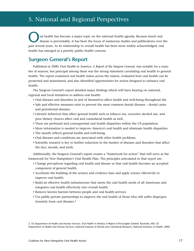# 5. National and Regional Perspectives

The cause much has become a major topic on the national health agenda. Because much oral<br>disease is preventable, it has been the focus of numerous studies and publications over the cause of numerous studies and publication disease is preventable, it has been the focus of numerous studies and publications over the past several years. As its relationship to overall health has been more widely acknowledged, oral health has emerged as a priority public health concern.

# **Surgeon General's Report**

Published in 2000, *Oral Health in America: A Report of the Surgeon General*, was notable for a number of reasons, but principal among them was the strong statement correlating oral health to general health. The report examined oral health status across the nation, evaluated how oral health can be promoted and maintained, and also identified opportunities for action designed to enhance oral health.

The Surgeon General's report detailed major findings which will have bearing on national, regional and local initiatives to address oral health:

- Oral diseases and disorders in and of themselves affect health and well-being throughout life.
- Safe and effective measures exist to prevent the most common dental diseases dental caries and periodontal diseases.
- Lifestyle behaviors that affect general health such as tobacco use, excessive alcohol use, and poor dietary choices affect oral and craniofacial health as well.
- There are profound and consequential oral health disparities within the US population.
- More information is needed to improve America's oral health and eliminate health disparities.
- The mouth reflects general health and well-being.
- Oral diseases and conditions are associated with other health problems.
- Scientific research is key to further reduction in the burden of diseases and disorders that affect the face, mouth, and teeth.

Additionally, the Surgeon General's report creates a "framework for action" that will serve as the framework for New Hampshire's Oral Health Plan. The principles articulated in that report are:

- Change perceptions regarding oral health and disease so that oral health becomes an accepted component of general health.
- Accelerate the building of the science and evidence base and apply science effectively to improve oral health.
- Build an effective health infrastructure that meets the oral health needs of all Americans and integrates oral health effectively into overall health.
- Remove known barriers between people and oral health services.
- Use public-private partnerships to improve the oral health of those who still suffer disproportionately from oral diseases.2

<sup>2.</sup> US Department of Health and Human Services. *Oral Health In America: A Report of the Surgeon General.* Rockville, MD: US Department of Health and Human Services, National Institute of Dental and Craniofacial Research, National Institutes of Health, 2000.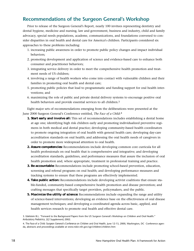# **Recommendations of the Surgeon General's Workshop**

Prior to release of the Surgeon General's Report, nearly 100 invitees representing dentistry and dental hygiene, medicine and nursing, law and government, business and industry, child and family advocacy, special needs populations, academe, communications, and foundations convened to consider disparities in oral health and dental care for America's children. Participants considered six approaches to these problems including:

- 1. increasing public awareness in order to promote public policy changes and impact individual behaviors;
- 2. promoting development and application of science and evidence-based care to enhance both consumer and practitioner behaviors;
- 3. integrating service delivery in order to meet the comprehensive health promotion and treatment needs of US children;
- 4. involving a range of health workers who come into contact with vulnerable children and their families in promoting oral health and dental care;
- 5. promoting public policies that lead to programmatic and funding support for oral health interventions; and
- 6. maximizing the role of public and private dental delivery systems to encourage positive oral health behaviors and provide essential services to all children.<sup>3</sup>

Eight major sets of recommendations emerging from the deliberations were presented at the June 2000 Surgeon General's Conference entitled, *The Face of a Child*:4

- **1. Start early and involve all:** This set of recommendations includes establishing a dental home at age one; identifying high risk children early and promoting individualized preventive regimens in both medical and dental practice; developing community-based health coordinators to promote ongoing integration of oral health with general health care; developing day-care accreditation standards on oral health; and addressing the oral health needs of caregivers in order to promote more widespread attention to oral health.
- **2. Assure competencies:** Recommendations include developing common core curricula for all health professionals on oral health that is comprehensive and integrative; and developing accreditation standards, guidelines, and performance measures that assure the inclusion of oral health promotion and, where appropriate, treatment in professional training and practice.
- **3. Be accountable:** Recommendations include promoting school-based prevention, education, screening and referral programs on oral health; and developing performance measures and tracking systems to ensure that these programs are effectively implemented.
- **4. Take public action:** Recommendations include developing activist coalitions that ensure stable-funded, community-based comprehensive health promotion and disease prevention; and crafting messages that specifically target providers, policymakers, and the public.
- **5. Maximize the utility of science:** Recommendations include expanding the range and utility of science-based interventions; developing an evidence base on the effectiveness of oral disease management techniques; and developing a coordinated agenda across basic, applied, and health services research to promote oral health and effective dental care.

<sup>3.</sup> Edelstein B.L. "Forward to the Background Papers from the US Surgeon General's Workshop on Children and Oral Health." *Ambulatory Pediatrics,* 2(2 Supplement) 2002.

<sup>4.</sup> The Face of a Child: Surgeon General's Conference on Children and Oral Health, June 12-13, 2000, Washington, DC Conference agenda, abstracts and proceedings available at www.nidcr.nih.gov/sgr/children/children.htm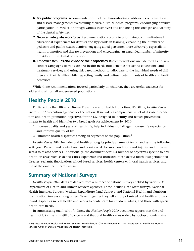- **6. Fix public programs:** Recommendations include demonstrating cost-benefits of prevention and disease management; overhauling Medicaid EPSDT dental programs; encouraging provider participation in Medicaid through various incentives; and enhancing the strength and viability of the dental safety net.
- **7. Grow an adequate workforce:** Recommendations promote prioritizing community-based educational experiences for dentists and hygienists in training; expanding the numbers of pediatric and public health dentists; engaging allied personnel more effectively especially in health promotion and disease prevention; and encouraging an expanded number of minority providers in the dental professions.
- **8. Empower families and enhance their capacities:** Recommendations include media and keycontact campaigns to translate oral health needs into demands for dental educational and treatment services; and using risk-based methods to tailor care to the individual needs of children and their families while respecting family and cultural determinants of health and health behaviors.

While these recommendations focused particularly on children, they are useful strategies for addressing almost all under-served populations.

# **Healthy People 2010**

Published by the Office of Disease Prevention and Health Promotion, US DHHS, *Healthy People 2010* is the "prevention agenda" for the nation. It includes a comprehensive set of disease prevention and health promotion objectives for the US, designed to identify and reduce preventable threats to health and identifies two broad goals for achievement by 2010:

- 1. Increase quality and years of health life; help individuals of all ages increase life expectancy and improve quality of life.
- 2. Eliminate health disparities among all segments of the population.5

*Healthy People 2010* includes oral health among its principal areas of focus, and sets the following as its goal: Prevent and control oral and craniofacial diseases, conditions and injuries and improve access to related services. Additionally, the document details a number of objectives specific to oral health, in areas such as dental caries experience and untreated tooth decay; tooth loss; periodontal diseases; sealants; fluoridation; school-based services; health centers with oral health services; and use of the oral health care system.

# **Summary of National Surveys**

*Healthy People 2010* data are derived from a number of national surveys fielded by various US Department of Health and Human Services agencies. These include Head Start surveys, National Health Interview Surveys, Medical Expenditure Panel Surveys, and National Health and Nutrition Examination Surveys among others. Taken together they tell a story of mixed oral health and profound disparities in oral health and access to dental care for children, adults, and those with special health care needs.

In summarizing oral health findings, the *Healthy People 2010* document reports that the oral health of US citizens is still of concern and that oral health varies widely by socioeconomic status

<sup>5.</sup> US Department of Health and Human Services. *Healthy People 2010.* Washington, DC: US Department of Health and Human Services, Office of Disease Prevention and Health Promotion.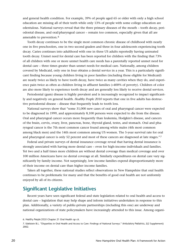and general health condition. For example, 39% of people aged 65 or older with only a high school education are missing all of their teeth while only 13% of people with some college education are edentulous. National surveys reveal that the three primary diseases of the mouth – tooth decay, periodontal disease, and oral/pharyngeal cancer – remain too common, especially given that all are amenable to prevention. 6

Tooth decay continues to be the single most common chronic disease of childhood with nearly one in five preschoolers, one in two second graders and three in four adolescents experiencing tooth decay. Caries continues into adulthood with one in three US adults reportedly having untreated tooth decay. Unmet need for dental care has been reported for children with the finding that 73% of all children with one or more unmet health care needs has a parentally reported unmet need for dental care – three times greater than unmet needs for medical care. Nationally, among children covered by Medicaid, only one in four obtains a dental service in a year. This is a particularly significant finding because young children living in poor families (including those eligible for Medicaid) are nearly twice as likely to have tooth decay, have twice as many cavities when they do, and experience pain twice as often as children living in affluent families (>400% of poverty). Children of color are also more likely to experience tooth decay and are generally less likely to receive dental services.

Periodontal (gum) disease is highly prevalent and is increasingly recognized to impact significantly and negatively on general health. *Healthy People 2010* reports that one in five adults has destructive periodontal disease – disease that frequently leads to tooth loss.

National surveys show that "some 31,000 new cases of oral and pharyngeal cancer were expected to be diagnosed in 1999, and approximately 8,100 persons were expected to die from the disease. Oral and pharyngeal cancer occurs more frequently than leukemia, Hodgkin's disease, and cancers of the brain, cervix, ovary, liver, pancreas, bone, thyroid gland, testes, and stomach. Oral and pharyngeal cancer is the 7th most common cancer found among white males (4th most common among black men) and the 14th most common among US women. The 5-year survival rate for oral and pharyngeal cancer is only 52 percent and most of these cancers are diagnosed at late stages."<sup>7</sup>

Federal and private surveys of dental insurance coverage reveal that having dental insurance is strongly associated with having more dental care – even for high-income individuals and families. Yet two and a half times more children are without dental coverage than medical coverage and over 100 million Americans have no dental coverage at all. Similarly expenditures on dental care vary significantly by family income. Not surprisingly, low income families expend disproportionately more of their income on dental care than higher income families.

Taken all together, these national studies reflect observations in New Hampshire that oral health continues to be problematic for many and that the benefits of good oral health are not uniformly enjoyed by all of its citizens.

# **Significant Legislative Initiatives**

Recent years have seen significant federal and state legislation related to oral health and access to dental care – legislation that may help shape and inform initiatives undertaken in response to this plan. Additionally, a variety of public-private partnerships (including this one) are underway and national organizations of state policymakers have increasingly attended to this issue. Among organi-

<sup>6.</sup> *Healthy People 2010* Chapter 21 Oral Health op cit.

<sup>7.</sup> Edelstein B.L. "Disparities in Oral Health and Access to Care: Findings of National Surveys." *Ambulatory Pediatrics,* 2(2 Supplement) 2002.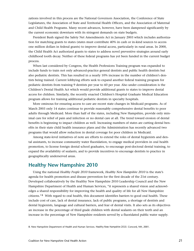zations involved in this process are the National Governors Association, the Conference of State Legislatures, the Association of State and Territorial Health Officers, and the Association of Maternal and Child Health Programs. Many recent advances, however, have been dampened significantly by the current economic downturn with its stringent demands on state budgets.

President Bush signed the Safety Net Amendments Act in January 2003 which includes authorization for matching grants to states (states must contribute 40% in cash or in-kind sources to access one million dollars in federal grants) to improve dental access, particularly in rural areas. In 2000, the Child Health Act authorized grants to states to address novel preventive strategies around early childhood tooth decay. Neither of these federal programs has yet been funded in the current budget process.

When last considered by Congress, the Health Professions Training program was expanded to include funds to train not only advanced-practice general dentists and public health dentists but also pediatric dentists. This has resulted in a nearly 10% increase in the number of children's dentists being trained. Current lobbying efforts seek to expand another federal training program for pediatric dentists from training 9 dentists per year to 60 per year. Also under consideration is the Children's Dental Health Act which would provide additional grants to states to improve dental access for children. Similarly, the recently enacted Children's Hospital Graduate Medical Education program allows for training additional pediatric dentists in specialty hospitals.

More ominous for ensuring access to care are recent state changes in Medicaid programs. As of March 2003 only 14 states continue to provide reasonably comprehensive dental benefits to poor adults through Medicaid. More than half of the states, including New Hampshire, provide only minimal care for relief of pain and infection or no dental care at all. The trend toward erosion of dental benefits is beginning to impact children as well. Increasing numbers of states are cutting dental benefits in their state child health insurance plans and the Administration has recently advanced two programs that would allow reduction in dental coverage for poor children in Medicaid.

Among state-level initiatives of note are efforts to extend the roles of dental hygienists and dental assistants, to increase community water fluoridation, to engage medical providers in oral health promotion, to license foreign dental school graduates, to encourage post-doctoral dental training, to expand the availability of sealants, and to provide incentives to encourage dentists to practice in geographically underserved areas.

# **Healthy New Hampshire 2010**

Using the national *Healthy People 2010* framework, *Healthy New Hampshire 2010* is the state's agenda for health promotion and disease prevention for the first decade of the 21st century. Developed collaboratively by the Healthy New Hampshire 2010 Leadership Council and the New Hampshire Department of Health and Human Services, "it represents a shared vision and acknowledges a shared responsibility for improving the health and quality of life for all New Hampshire citizens." 8 With regard to oral health, this document identifies barriers to good oral health. These include cost of care, lack of dental insurance, lack of public programs, a shortage of dentists and dental hygienists, language and cultural barriers, and fear of dental visits. It also sets as its objectives an increase in the percentage of third grade children with dental sealants on their teeth and an increase in the percentage of New Hampshire residents served by a fluoridated public water supply.

8. New Hampshire Department of Health and Human Services. *Healthy New Hampshire 2010.* Concord, NH, 2001.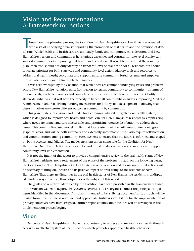# Vision and Recommendations: A Framework for Actions

hroughout the planning process, the Coalition for New Hampshire Oral Health Action operated with a set of underlying premises regarding the promotion of oral health and the provision of dental care: While health and health care are ultimately family and community considerations and New Hampshire's regions and communities have unique capacities and constraints, state level activity can support communities in improving oral health and dental care. It was determined that the resulting plan, therefore, should not only identify a "standard" level of oral health for all residents, but should articulate priorities for both statewide and community-level action; identify tools and resources to address oral health needs; coordinate and support existing community-based systems; and empower individuals to access and utilize available resources.

It was acknowledged by the Coalition that while there are common underlying issues and problems across New Hampshire, variation exists from region to region, community to community – in terms of unique needs, available resources and competencies. This means that there is the need to identify statewide initiatives that will have the capacity to benefit all communities – such as improving Medicaid reimbursement and establishing funding mechanisms for local system development – knowing that these initiatives may create different outcomes community by community.

This plan establishes a vision and model for a community-based integrated oral health system, which is designed to improve oral health and dental care for New Hampshire residents by emphasizing where needs are unmet and care inaccessible, and prioritizing resource distribution to address those issues. This community-based model implies that local systems will be built around functional geographical areas, and will be both internally and externally accountable. It will also require collaboration and communication among community-based systems to ensure that the future is informed and shaped by both successes and failures. The model envisions an on-going role for the Coalition for New Hampshire Oral Health Action to advocate for and initiate state-level action and monitor and support community-level implementation.

It is not the intent of this report to provide a comprehensive review of the oral health status of New Hampshire's residents, nor a restatement of the scope of the problem. Instead, on the following pages, the Coalition for New Hampshire Oral Health Action offers a vision and discussion of what actions will be necessary to bring oral health and its positive impact on well-being, to the residents of New Hampshire. That there are disparities in the oral health status of New Hampshire residents is undisputed. Finding ways to reduce those disparities is the subject of this report.

The goals and objectives identified by the Coalition have been presented in the framework outlined in the Surgeon General's Report, *Oral Health in America,* and are organized under the principal components identified in that document. This plan is intended to be a "living document" and, as such, will be revised from time to time as necessary and appropriate. Initial responsibilities for the implementation of primary objectives have been assigned. Further responsibilities and timelines will be developed as the implementation process begins.

# **Vision**

Residents of New Hampshire will have the opportunity to achieve and maintain oral health through access to an effective system of health services which promotes appropriate health behaviors.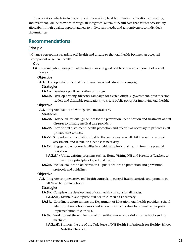These services, which include assessment, prevention, health promotion, education, counseling, and treatment, will be provided through an integrated system of health care that assures accessibility, affordability, high quality, appropriateness to individuals' needs, and responsiveness to individuals' circumstances.

# **Recommendations**

# **Principle**

**I.** Change perceptions regarding oral health and disease so that oral health becomes an accepted component of general health.

# **Goal**

**I.A.** Increase public perception of the importance of good oral health as a component of overall health.

# **Objective**

**I.A.1.** Develop a statewide oral health awareness and education campaign.

# **Strategies**

**I.A.1.a.** Develop a public education campaign.

**I.A.1.b.** Develop a strong advocacy campaign for elected officials, government, private sector leaders and charitable foundations, to create public policy for improving oral health.

# **Objective**

**I.A.2.** Integrate oral health with general medical care.

### **Strategies**

- **I.A.2.a.** Provide educational guidelines for the prevention, identification and treatment of oral diseases to primary medical care providers.
- **I.A.2.b.** Provide oral assessment, health promotion and referrals as necessary to patients in all primary care settings.
- **I.A.2.c.** Support recommendations that by the age of one year, all children receive an oral assessment, and referral to a dentist as necessary.
- **I.A.2.d.** Engage and empower families in establishing basic oral health, from the prenatal period on.
	- **I.A.2.d.(i).** Utilize existing programs such as Home Visiting NH and Parents as Teachers to reinforce principles of good oral health.
- **I.A.2.e.** Include oral health objectives in all published health promotion and prevention protocols and guidelines.

### **Objective**

**I.A.3.** Integrate comprehensive oral health curricula in general health curricula and promote in all New Hampshire schools.

### **Strategies**

**I.A.3.a.** Complete the development of oral health curricula for all grades.

**I.A.3.a.(i).** Maintain and update oral health curricula as necessary.

- **I.A.3.b.** Coordinate efforts among the Department of Education, oral health providers, school administration, school nurses and school health educators to promote appropriate implementation of curricula.
- **I.A.3.c.** Work toward the elimination of unhealthy snacks and drinks from school vending machines.
	- **I.A.3.c.(i).** Promote the use of the Task Force of NH Health Professionals for Healthy School Nutrition Tool Kit.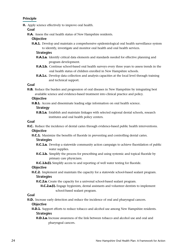### **Principle**

**II.** Apply science effectively to improve oral health.

**Goal**

**II.A.** Assess the oral health status of New Hampshire residents.

#### **Objective**

**II.A.1.** Develop and maintain a comprehensive epidemiological oral health surveillance system to identify, investigate and monitor oral health and oral health services.

#### **Strategies**

- **II.A.1.a.** Identify critical data elements and standards needed for effective planning and program development.
- **II.A.1.b.** Continue school-based oral health surveys every three years to assess trends in the oral health status of children enrolled in New Hampshire schools.
- **II.A.1.c.** Develop data collection and analysis capacities at the local level through training and technical support.

#### **Goal**

**II.B.** Reduce the burden and progression of oral diseases in New Hampshire by integrating best available science and evidence-based treatment into clinical practice and policy.

#### **Objective**

**II.B.1.** Access and disseminate leading edge information on oral health science.

### **Strategy**

#### **Goal**

- **II.C.** Reduce the incidence of dental caries through evidence-based public health interventions. **Objective**
	- **II.C.1.** Maximize the benefits of fluoride in preventing and controlling dental caries.

### **Strategies**

- **II.C.1.a.** Develop a statewide community action campaign to achieve fluoridation of public water supplies.
- **II.C.1.b.** Simplify the process for prescribing and using systemic and topical fluoride by primary care physicians.

**II.C.1.b.(i).** Simplify access to and reporting of well water testing for fluoride.

### **Objective**

**II.C.2.** Implement and maintain the capacity for a statewide school-based sealant program. **Strategies**

**II.C.2.a.** Create the capacity for a universal school-based sealant program.

**II.C.2.a.(i).** Engage hygienists, dental assistants and volunteer dentists to implement school-based sealant program.

### **Goal**

**II.D.** Increase early detection and reduce the incidence of oral and pharyngeal cancers.

### **Objective**

**II.D.1.** Support efforts to reduce tobacco and alcohol use among New Hampshire residents. **Strategies**

**II.D.1.a.** Increase awareness of the link between tobacco and alcohol use and oral and pharyngeal cancers.

**II.B.1.a.** Establish and maintain linkages with selected regional dental schools, research institutes and oral health policy centers.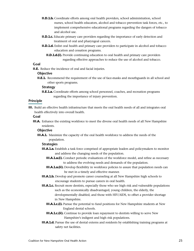- **II.D.1.b.** Coordinate efforts among oral health providers, school administration, school nurses, school health educators, alcohol and tobacco prevention task forces, etc., to implement comprehensive educational programs regarding the dangers of tobacco and alcohol use.
- **II.D.1.c.** Educate primary care providers regarding the importance of early detection and treatment of oral and pharyngeal cancers.
- **II.D.1.d.** Enlist oral health and primary care providers to participate in alcohol and tobacco education and cessation programs.
	- **II.D.1.d.(i).** Provide continuing education to oral health and primary care providers regarding effective approaches to reduce the use of alcohol and tobacco.

### **Goal**

**II.E.** Reduce the incidence of oral and facial injuries.

### **Objective**

**II.E.1.** Recommend the requirement of the use of face-masks and mouthguards in all school and other sports programs.

### **Strategy**

**II.E.1.a.** Coordinate efforts among school personnel, coaches, and recreation programs regarding the importance of injury prevention.

### **Principle**

**III.** Build an effective health infrastructure that meets the oral health needs of all and integrates oral health effectively into overall health.

#### **Goal**

**III.A.** Enhance the existing workforce to meet the diverse oral health needs of all New Hampshire residents.

### **Objective**

**III.A.1.** Maximize the capacity of the oral health workforce to address the needs of the population.

#### **Strategies**

- **III.A.1.a.** Establish a task force comprised of appropriate leaders and policymakers to monitor and address the changing needs of the population.
	- **III.A.1.a.(i).** Conduct periodic evaluations of the workforce model, and refine as necessary to address the evolving needs and demands of the population.
	- **III.A.1.a.(ii).** Develop flexibility in workforce policies to assure that population needs can be met in a timely and effective manner.
- **III.A.1.b.** Develop and promote career counseling at all New Hampshire high schools to encourage students to pursue careers in oral health.
- **III.A.1.c.** Recruit more dentists, especially those who see high risk and vulnerable populations such as the economically disadvantaged, young children, the elderly, the developmentally disabled, and those with HIV/AIDS, to offset a provider shortage in New Hampshire.
	- **III.A.1.c.(i).** Pursue the potential to fund positions for New Hampshire students at New England dental schools.
	- **III.A.1.c.(ii).** Continue to provide loan repayment to dentists willing to serve New Hampshire's indigent and high risk populations.
- **III.A.1.d.** Pursue the use of dental externs and residents by establishing training programs at safety net facilities.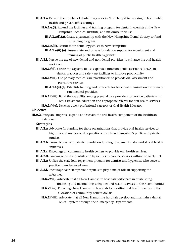- **III.A.1.e.** Expand the number of dental hygienists in New Hampshire working in both public health and private office settings.
	- **III.A.1.e.(i).** Expand the facilities and training program for dental hygienists at the New Hampshire Technical Institute, and maximize their use.
		- **III.A.1.e.(i).(a).** Create a partnership with the New Hampshire Dental Society to fund the training program.
	- **III.A.1.e.(ii).** Recruit more dental hygienists to New Hampshire.

**III.A.1.e.(ii).(a).** Pursue state and private foundation support for recruitment and training of public health hygienists.

- **III.A.1.f.** Pursue the use of new dental and non-dental providers to enhance the oral health workforce.
	- **III.A.1.f.(i).** Create the capacity to use expanded function dental assistants (EFDA) in dental practices and safety net facilities to improve productivity.
	- **III.A.1.f.(ii).** Use primary medical care practitioners to provide oral assessment and preventive services.
		- **III.A.1.f.(ii).(a).** Establish training and protocols for basic oral examination for primary care medical providers.
	- **III.A.1.f.(iii).** Build the capability among prenatal care providers to provide patients with oral assessment, education and appropriate referral for oral health services.

**III.A.1.f.(iv).** Develop a new professional category of Oral Health Educator.

### **Objective**

**III.A.2.** Integrate, improve, expand and sustain the oral health component of the healthcare safety net.

**Strategies**

- **III.A.2.a.** Advocate for funding for those organizations that provide oral health services to high risk and underserved populations from New Hampshire's public and private funders.
- **III.A.2.b.** Pursue federal and private foundation funding to augment state-funded oral health initiatives.
- **III.A.2.c.** Encourage all community health centers to provide oral health services.
- **III.A.2.d.** Encourage private dentists and hygienists to provide services within the safety net.
- **III.A.2.e.** Utilize the state loan repayment program for dentists and hygienists who agree to practice in underserved areas.
- **III.A.2.f.** Encourage New Hampshire hospitals to play a major role in supporting the safety net.
	- **III.A.2.f.(i).** Advocate that all New Hampshire hospitals participate in establishing, financing and maintaining safety net oral health services in their communities.
	- **III.A.2.f.(ii).** Encourage New Hampshire hospitals to prioritize oral health services in the allocation of community benefit dollars.
	- **III.A.2.f.(iii).** Advocate that all New Hampshire hospitals develop and maintain a dental on-call system through their Emergency Departments.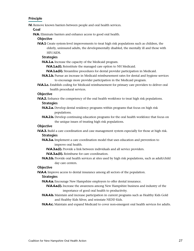#### **Principle**

**IV.** Remove known barriers between people and oral health services.

#### **Goal**

**IV.A.** Eliminate barriers and enhance access to good oral health.

#### **Objective**

**IV.A.1** Create system-level improvements to treat high risk populations such as children, the elderly, uninsured adults, the developmentally disabled, the mentally ill and those with HIV/AIDS.

#### **Strategies**

**IV.A.1.a.** Increase the capacity of the Medicaid program.

**IV.A.1.a.(i).** Reinstitute the managed care option to NH Medicaid.

**IV.A.1.a.(ii).** Streamline procedures for dental provider participation in Medicaid.

**IV.A.1.b.** Pursue an increase in Medicaid reimbursement rates for dental and hygiene services to encourage more provider participation in the Medicaid program.

**IV.A.1.c.** Establish coding for Medicaid reimbursement for primary care providers to deliver oral health procedural services.

#### **Objective**

**IV.A.2.** Enhance the competency of the oral health workforce to treat high risk populations.

#### **Strategies**

- **IV.A.2.a.** Develop dental residency programs within programs that focus on high risk populations.
- **IV.A.2.b.** Develop continuing education programs for the oral health workforce that focus on the unique issues of treating high risk populations.

### **Objective**

**IV.A.3.** Build a care coordination and case management system especially for those at high risk. **Strategies**

- **IV.A.3.a.** Implement a care coordination model that uses education and prevention to improve oral health.
	- **IV.A.3.a.(i).** Provide a link between individuals and all service providers.

**IV.A.3.a.(ii).** Reimburse for care coordination.

**IV.A.3.b.** Provide oral health services at sites used by high risk populations, such as adult/child day care centers.

### **Objective**

**IV.A.4.** Improve access to dental insurance among all sectors of the population.

#### **Strategies**

- **IV.A.4.a.** Encourage New Hampshire employers to offer dental insurance.
	- **IV.A.4.a.(i).** Increase the awareness among New Hampshire business and industry of the importance of good oral health to productivity.
- **IV.A.4.b.** Maintain and increase participation in current programs such as Healthy Kids Gold and Healthy Kids Silver, and reinstate NEDD Kids.
- **IV.A.4.c.** Maintain and expand Medicaid to cover non-emergent oral health services for adults.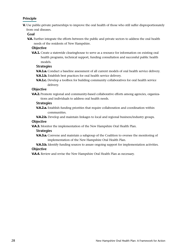### **Principle**

**V.** Use public-private partnerships to improve the oral health of those who still suffer disproportionately from oral diseases.

**Goal**

**V.A.** Further integrate the efforts between the public and private sectors to address the oral health needs of the residents of New Hampshire.

#### **Objective**

**V.A.1.** Create a statewide clearinghouse to serve as a resource for information on existing oral health programs, technical support, funding consultation and successful public health models.

#### **Strategies**

- **V.A.1.a.** Conduct a baseline assessment of all current models of oral health service delivery.
- **V.A.1.b.** Establish best practices for oral health service delivery.
- **V.A.1.c.** Develop a toolbox for building community collaboratives for oral health service delivery.

### **Objective**

**V.A.2.** Promote regional and community-based collaborative efforts among agencies, organizations and individuals to address oral health needs.

#### **Strategies**

**V.A.2.a.** Establish funding priorities that require collaboration and coordination within communities.

**V.A.2.b.** Develop and maintain linkages to local and regional business/industry groups.

### **Objective**

**V.A.3.** Monitor the implementation of the New Hampshire Oral Health Plan.

### **Strategies**

- **V.A.3.a.** Convene and maintain a subgroup of the Coalition to oversee the monitoring of implementation of the New Hampshire Oral Health Plan.
- **V.A.3.b.** Identify funding sources to assure ongoing support for implementation activities.

# **Objective**

**V.A.4.** Review and revise the New Hampshire Oral Health Plan as necessary.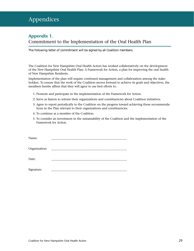# Appendices

# **Appendix 1.**  Commitment to the Implementation of the Oral Health Plan

*The following letter of commitment will be signed by all Coalition members.*

The Coalition for New Hampshire Oral Health Action has worked collaboratively on the development of the New Hampshire Oral Health Plan: A Framework for Action, a plan for improving the oral health of New Hampshire Residents.

Implementation of the plan will require continued management and collaboration among the stakeholders. To ensure that the work of the Coalition moves forward to achieve its goals and objectives, the members hereby affirm that they will agree to use best efforts to:

- 1. Promote and participate in the implementation of the Framework for Action.
- 2. Serve as liaison to inform their organizations and constituencies about Coalition initiatives.
- 3. Agree to report periodically to the Coalition on the progress toward achieving those recommendations in the Plan relevant to their organizations and constituencies.
- 4. To continue as a member of the Coalition.
- 5. To consider an investment in the sustainability of the Coalition and the implementation of the Framework for Action.

| Name:         |  |
|---------------|--|
|               |  |
| Organization: |  |
|               |  |
| Date:         |  |
|               |  |
|               |  |
| Signature:    |  |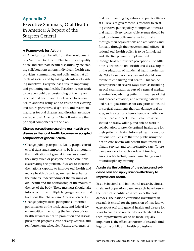# **Appendix 2.**

Executive Summary, Oral Health in America: A Report of the Surgeon General

### **A Framework for Action**

All Americans can benefit from the development of a National Oral Health Plan to improve quality of life and eliminate health disparities by facilitating collaborations among individuals, health care providers, communities, and policymakers at all levels of society and by taking advantage of existing initiatives. Everyone has a role in improving and promoting oral health. Together we can work to broaden public understanding of the importance of oral health and its relevance to general health and well-being, and to ensure that existing and future preventive, diagnostic, and treatment measures for oral diseases and disorders are made available to all Americans. The following are the principal components of the plan:

# **Change perceptions regarding oral health and disease so that oral health becomes an accepted component of general health.**

- Change public perceptions. Many people consider oral signs and symptoms to be less important than indications of general illness. As a result, they may avoid or postpone needed care, thus exacerbating the problem. If we are to increase the nation's capacity to improve oral health and reduce health disparities, we need to enhance the public's understanding of the meaning of oral health and the relationship of the mouth to the rest of the body. These messages should take into account the multiple languages and cultural traditions that characterize America's diversity.
- Change policymakers' perceptions. Informed policymakers at the local, state, and federal levels are critical in ensuring the inclusion of oral health services in health promotion and disease prevention programs, care delivery systems, and reimbursement schedules. Raising awareness of

oral health among legislators and public officials at all levels of government is essential to creating effective public policy to improve America's oral health. Every conceivable avenue should be used to inform policymakers – informally through their organizations and affiliations and formally through their governmental offices – if rational oral health policy is to be formulated and effective programs implemented.

• Change health providers' perceptions. Too little time is devoted to oral health and disease topics in the education of nondental health professionals. Yet all care providers can and should contribute to enhancing oral health. This can be accomplished in several ways, such as including an oral examination as part of a general medical examination, advising patients in matters of diet and tobacco cessation, and referring patients to oral health practitioners for care prior to medical or surgical treatments that can damage oral tissues, such as cancer chemotherapy or radiation to the head and neck. Health care providers should be ready, willing, and able to work in collaboration to provide optimal health care for their patients. Having informed health care professionals will ensure that the public using the health care system will benefit from interdisciplinary services and comprehensive care. To prepare providers for such a role will involve, among other factors, curriculum changes and multidisciplinary training.

# **Accelerate the building of the science and evidence base and apply science effectively to improve oral health.**

Basic behavioral and biomedical research, clinical trials, and population-based research have been at the heart of scientific advances over the past decades. The nation's continued investment in research is critical for the provision of new knowledge about oral and general health and disease for years to come and needs to be accelerated if further improvements are to be made. Equally important is the effective transfer of research findings to the public and health professions.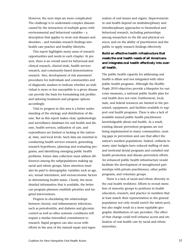However, the next steps are more complicated. The challenge is to understand complex diseases caused by the interaction of multiple genes with environmental and behavioral variables – a description that applies to most oral diseases and disorders – and translate research findings into health care practice and healthy lifestyles.

This report highlights many areas of research opportunities and needs in each chapter. At present, there is an overall need for behavioral and clinical research, clinical trials, health services research, and community-based demonstration research. Also, development of risk assessment procedures for individuals and communities and of diagnostic markers to indicate whether an individual is more or less susceptible to a given disease can provide the basis for formulating risk profiles and tailoring treatment and program options accordingly.

Vital to progress in this area is a better understanding of the etiology and distribution of disease. But as this report makes clear, epidemiologic and surveillance databases for oral health and disease, health services, utilization of care, and expenditures are limited or lacking at the national, state, and local levels. Such data are essential in conducting health services research, generating research hypotheses, planning and evaluating programs, and identifying emerging public health problems. Future data collection must address differences among the subpopulations making up racial and ethnic groups. More attention must also be paid to demographic variables such as age, sex, sexual orientation, and socioeconomic factors in determining health status. Clearly, the more detailed information that is available, the better can program planners establish priorities and targeted interventions.

Progress in elucidating the relationships between chronic oral inflammatory infections, such as periodontitis, and diabetes and glycemic control as well as other systemic conditions will require a similar intensified commitment to research. Rapid progress can also occur with efforts in the area of the natural repair and regeneration of oral tissues and organs. Improvements in oral health depend on multidisciplinary and interdisciplinary approaches to biomedical and behavioral research, including partnerships among researchers in the life and physical sciences, and on the ability of practitioners and the public to apply research findings effectively.

# **Build an effective health infrastructure that meets the oral health needs of all Americans and integrates oral health effectively into overall health.**

The public health capacity for addressing oral health is dilute and not integrated with other public health programs. Although the *Healthy People 2010* objectives provide a blueprint for outcome measures, a national public health plan for oral health does not exist. Furthermore, local, state, and federal resources are limited in the personnel, equipment, and facilities available to support oral health programs. There is also a lack of available trained public health practitioners knowledgeable about oral health. As a result, existing disease prevention programs are not being implemented in many communities, creating gaps in prevention and care that affect the nation's neediest populations. Indeed, cutbacks in many state budgets have reduced staffing of state and territorial dental programs and curtailed oral health promotion and disease prevention efforts. An enhanced public health infrastructure would facilitate the development of strengthened partnerships with private practitioners, other public programs, and voluntary groups.

There is a lack of racial and ethnic diversity in the oral health workforce. Efforts to recruit members of minority groups to positions in health education, research, and practice in numbers that at least match their representation in the general population not only would enrich the talent pool, but also might result in a more equitable geographic distribution of care providers. The effect of that change could well enhance access and utilization of oral health care by racial and ethnic minorities.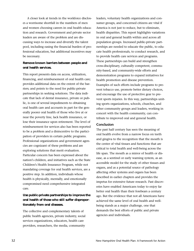A closer look at trends in the workforce discloses a worrisome shortfall in the numbers of men and women choosing careers in oral health education and research. Government and private sector leaders are aware of the problem and are discussing ways to increase and diversify the talent pool, including easing the financial burden of professional education, but additional incentives may be necessary.

### **Remove known barriers between people and oral health services.**

This report presents data on access, utilization, financing, and reimbursement of oral health care; provides additional data on the extent of the barriers; and points to the need for public-private partnerships in seeking solutions. The data indicate that lack of dental insurance, private or public, is one of several impediments to obtaining oral health care and accounts in part for the generally poorer oral health of those who live at or near the poverty line, lack health insurance, or lose their insurance upon retirement. The level of reimbursement for services also has been reported to be a problem and a disincentive to the participation of providers in certain public programs. Professional organizations and government agencies are cognizant of these problems and are exploring solutions that merit evaluation. Particular concern has been expressed about the nation's children, and initiatives such as the State Children's Health Insurance Program, while not mandating coverage for oral health services, are a positive step. In addition, individuals whose health is physically, mentally, and emotionally compromised need comprehensive integrated care.

# **Use public-private partnerships to improve the oral health of those who still suffer disproportionately from oral diseases.**

The collective and complementary talents of public health agencies, private industry, social services organizations, educators, health care providers, researchers, the media, community

leaders, voluntary health organizations and consumer groups, and concerned citizens are vital if America is not just to reduce, but to eliminate, health disparities. This report highlights variations in oral and general health within and across all population groups. Increased public-private partnerships are needed to educate the public, to educate health professionals, to conduct research, and to provide health care services and programs. These partnerships can build and strengthen cross-disciplinary, culturally competent, community-based, and community-wide efforts and demonstration programs to expand initiatives for health promotion and disease prevention. Examples of such efforts include programs to prevent tobacco use, promote better dietary choices, and encourage the use of protective gear to prevent sports injuries. In this way, partnerships uniting sports organizations, schools, churches, and other community groups and leaders, working in concert with the health community, can contribute to improved oral and general health.

### **Conclusion**

The past half century has seen the meaning of oral health evolve from a narrow focus on teeth and gingiva to the recognition that the mouth is the center of vital tissues and functions that are critical to total health and well-being across the life span. The mouth as a mirror of health or disease, as a sentinel or early warning system, as an accessible model for the study of other tissues and organs, and as a potential source of pathology affecting other systems and organs has been described in earlier chapters and provides the impetus for extensive future research. Past discoveries have enabled Americans today to enjoy far better oral health than their forebears a century ago. But the evidence that not all Americans have achieved the same level of oral health and wellbeing stands as a major challenge, one that demands the best efforts of public and private agencies and individuals.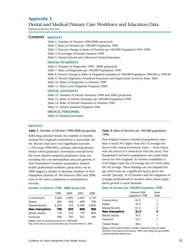# **Appendix 3.**

Dental and Medical Primary Care Workforce and Education Data

Prepared by David M. Krol, M.D.

# **Contents DENTISTS**

Table 1. Number of Dentists 1998-2008 (projected) Table 2. Ratio of Dentists per 100,000 Population 1998 Table 3. Percent Change in Ratio of Dentists per 100,000 Population 1991-1998 Table 4. Percentage of Female Dentists 1998 Table 5: Dental Schools and Advanced Dental Education **DENTAL HYGIENISTS** Table 6. Number of Hygienists 1998 - 2008 (projected) Table 7. Ratio of Hygienists per 100,000 Population 1998 Table 8. Percent Change in Ratio of Hygienist Graduates to 100,000 Population 1985-86 to 1995-96 Table 9. Dental Hygienists: Permitted Functions and Supervision Levels by State, 2001 Table 10. Ratio of Hygienists to Dentists 1998 Table 11. Entry Level Hygienist Programs 2002

#### **DENTAL ASSISTANTS**

Table 12. Number of Dental Assistants 1998 and 2008 (projected)

Table 13. Ratio of Dental Assistants per 100,000 Population 1998

Table 14. Ratio of Dental Assistants to Dentists 1998

Table 15. Dental Assistant Programs 2001

#### **MEDICAL PERSONNEL**

Table 16. Medical Personnel

#### **DENTISTS**

**Table 1:** Number of Dentists 1998-2008 (projected) Reflecting national trends, the number of dentists serving New England's population is reasonably stable. Recent years have seen significant increases (~25% from 1998-2001), perhaps reflecting Boston dental school graduates' movement outward from the more dentist-congested population rings surrounding the core metropolitan area and growth of New Hampshire's southern population. Federal health professional workforce projections out to 2008 suggest a decline in absolute numbers of New Hampshire dentists of ~8% between 2001 and 2008, even as the state's population is anticipated to increase.

#### **Number of Dentists 1998 - 2008 (projected)**

|                      | 1998  | 2000  | 2001  | 2008  |
|----------------------|-------|-------|-------|-------|
| Connecticut          | 3,400 | 2,981 | 2,669 | 3,750 |
| Maine                | 600   | 584   | 608   | 700   |
| Massachusetts        | 4,250 | NA    | 4.500 | 4,850 |
| <b>New Hampshire</b> | 700   | 825   | 868   | 800   |
| Rhode Island         | 750   | NA    | 719   | 800   |
| Vermont              | 300   | 350   | 347   | 300   |

**Source:** State occupational projections: 1998-2008;

http://dws.state.ut.us/occ/projections.asp Accessed March 5, 2002.

#### **Table 2:** Ratio of Dentists per 100,000 population 1998

New England enjoys a dentist-to-population ratio that is nearly 9% higher than the US average but shows wide variation between states — from Maine with the fewest to Connecticut with the most. New Hampshire's dentist-to-population ratio ranks third lowest for New England. It's dentist availability is 6.4% higher than the US average but 5% lower than the NE average. These findings are not adjusted for age which may be a significant factor, given the overall "graying" of US dentists and the migration of younger professionals to western states where population growth is most dramatic.

#### **Ratio of Dentists per 100,000 Population 1998**

|                      | Dentists/1000<br>population 1998 | Rank<br>Order |  |
|----------------------|----------------------------------|---------------|--|
| Connecticut          | 65.9                             | 1             |  |
| Maine                | 43.9                             | 6             |  |
| Massachusetts        | 61.6                             | 2             |  |
| <b>New Hampshire</b> | 51.5                             | 4             |  |
| Rhode Island         | 50.1                             | 5             |  |
| Vermont              | 52.7                             | 3             |  |
| <b>United States</b> | 48.4                             |               |  |

**Source:** State Health Workforce Profiles, National Center for Health Workforce Information and Analysis, 1998; http://bhpr.hrsa.gov/healthworkforce/profiles/default.htm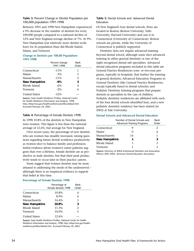**Table 3:** Percent Change in Dentist Population per 100,000 population 1991-1998

Between 1991 and 1998 New Hampshire experienced a 9% decrease in the number of dentists for every 100,000 people compared to a national decline of 12% and New England average decline of 7%. At 9%, New Hampshire lost relatively more dentist workforce for its population than did Rhode Island, Maine, and Vermont.

#### **Change in Dentists per 100,00 Population: 1991-1998**

|                      | Percent change<br>1991-1998 | Rank<br>Order |  |
|----------------------|-----------------------------|---------------|--|
| Connecticut          | $-11\%$                     | 1             |  |
| Maine                | $-3\%$                      | 5             |  |
| Massachusetts        | $-11\%$                     | 2             |  |
| <b>New Hampshire</b> | $-9%$                       | 3             |  |
| Rhode Island         | $-6\%$                      | 4             |  |
| Vermont              | $-2\%$                      | 6             |  |
| <b>United States</b> | $-12%$                      |               |  |

**Source:** State Health Workforce Profiles, National Center for Health Workforce Information and Analysis, 1998; http://bhpr.hrsa.gov/healthworkforce/profiles/default.htm Accessed February 20, 2002.

#### **Table 4:** Percentage of Female Dentists 1998

In 1998 10.8% of the dentists in New Hampshire were women. This figure is less than the national average of 12.6%, but average for New England.

Over recent years, the percentage of new dentists who are women has steadily increased, raising questions regarding future dental workforce productivity as women elect to balance family and profession. Initial evidence about women's career patterns suggests that over a lifetime, female dentists are as productive as male dentists, but that their peak productivity tends to occur later in their practice careers.

Some suggest that women dentists may be more attuned to addressing the needs of the underserved – although there is no empirical evidence to support that belief at this time.

#### **Percentage of Female Dentists 1998**

|                      | Percentage of<br>female dentists 1998 | Rank<br>Order |  |
|----------------------|---------------------------------------|---------------|--|
| Connecticut          | 10.8%                                 | 4             |  |
| Maine                | 8.9%                                  | 6             |  |
| Massachusetts        | 14.4%                                 | 1             |  |
| <b>New Hampshire</b> | 10.8%                                 | 3             |  |
| Rhode Island         | 11.3%                                 | 2             |  |
| Vermont              | 10.0%                                 | 5             |  |
| <b>United States</b> | 12.6%                                 |               |  |

**Source:** State Health Workforce Profiles, National Center for Health Workforce Information and Analysis, 1998; http://bhpr.hrsa.gov/healthworkforce/profiles/default.htm Accessed February 20, 2002.

#### **Table 5:** Dental Schools and Advanced Dental Education

Of New England's four dental schools, three are located in Boston (Boston University, Tufts University, Harvard University) and one is in Connecticut (University of Connecticut). Boston schools are private, while the University of Connecticut is publicly supported.

Dentistry does not require advanced training beyond dental school, although some elect advanced training in either general dentistry or one of the eight recognized dental sub specialties. Advanced dental education programs included in this table are General Practice Residencies (one- or two-year programs, typically in hospitals, that further the training of general dentists); Advanced Education Programs in General Dentistry (like General Practice Residencies, except typically based in dental schools); and Pediatric Dentistry training programs that prepare dentists as specialists in the care of children. Pediatric dentistry residencies are affiliated with each of the four dental schools identified here, and a new pediatric dentistry residency has been started (in 2002) at Yale University.

#### **Dental Schools and Advanced Dental Education**

|                      | Number of Dental Schools and<br><b>Advanced Training Programs</b> | Rank<br>Order |
|----------------------|-------------------------------------------------------------------|---------------|
| Connecticut          | 9                                                                 | 2             |
| Maine                | $\theta$                                                          | 4             |
| Massachusetts        | 14                                                                | 1             |
| <b>New Hampshire</b> | 1                                                                 | 3             |
| Rhode Island         | 1                                                                 | 3             |
| Vermont              |                                                                   | 3             |

**Source:** Directory of ADEA Institutional Members and Association Officers 2001-2002. American Dental Education Association.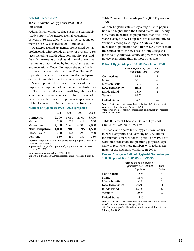#### **DENTAL HYGIENISTS**

**Table 6:** Number of Hygienists 1998 -2008 (projected)

Federal dental workforce data suggests a reasonably steady supply of Registered Dental Hygienists between 1998 and 2001 with an anticipated major increase of 50.7% between 2001 and 2008.

Registered Dental Hygienists are licensed dental professionals who provide an array of preventive services including health education, prophylaxis, and fluoride treatments as well as additional preventive treatments as authorized by individual state statutes and regulations. Depending upon the state, hygienists may function under the "direct" or "indirect" supervision of a dentist or may function independently of dentists in specific sites or in all sites.

Services provided by hygienists represent one important component of comprehensive dental care. Unlike nurse practitioners in medicine, who provide a comprehensive range of services to their level of expertise, dental hygienists' purview is specifically related to preventive (rather than corrective) care.

#### **Number of Hygienists 1998 - 2008 (projected)**

|                      | 1998  | 2000  | 2001  | 2008  |
|----------------------|-------|-------|-------|-------|
| Connecticut          | 2,700 | 3,060 | 2,700 | 3,400 |
| Maine                | 700   | 715   | 912   | 950   |
| Massachusetts        | 4,750 | 5,596 | 6,600 | 7,050 |
| <b>New Hampshire</b> | 1,000 | 900   | 995   | 1,500 |
| Rhode Island         | 750   | NA    | 795   | 900   |
| Vermont              | 550   | 450   | 450   | 750   |

**Sources:** Synopses of state dental public health programs, Centers for Disease Control, 2000;

http://www2.cdc.gov/nccdphp/doh/synopses/index.asp Accessed February 20, 2002

State occupational projections: 1998-2008;

http://almis.dws.state.ut.us/occ/projections.asp Accessed March 5, 2002.

#### **Table 7:** Ratio of Hygienists per 100,000 Population 1998

All New England states enjoy a hygienist-to-population ratio higher than the United States, with nearly 50% more hygienists to population than the United States average. New Hampshire ranks second only to Vermont among New England States and has a hygienist-to-population ratio that is 62% higher than the United States mean. These findings suggest a potentially greater availability of preventive services in New Hampshire than in most other states.

#### **Ratio of Hygienists per 100,000 Population 1998**

|                      | Dental Hygienists/1000<br>Population 1998 | Rank<br>Order |  |
|----------------------|-------------------------------------------|---------------|--|
| Connecticut          | 81.9                                      | 3             |  |
| Maine                | 56.1                                      | 6             |  |
| Massachusetts        | 77.3                                      | 5             |  |
| <b>New Hampshire</b> | 84.3                                      | 2             |  |
| Rhode Island         | 78.0                                      | 4             |  |
| Vermont              | 89.7                                      | 1             |  |
| <b>United States</b> | 52.1                                      |               |  |

**Source:** State Health Workforce Profiles, National Center for Health Workforce Information and Analysis, 1998; http://bhpr.hrsa.gov/healthworkforce/profiles/default.htm Accessed

February 20, 2002

#### **Table 8:** Percent Change in Ratio of Hygienist Graduates 1985-86 to 1995-96

This table anticipates future hygienist availability in New Hampshire and New England. Additional information is needed for the period after 1996 for workforce projection and planning purposes, especially to reconcile these numbers with federal estimates of the hygienist workforce in 2008.

#### **Percent Change in Ratio of Hygienist Graduates per 100,000 population 1985-86 to 1995-96**

|                      | Percent change in hygienist         |               |  |
|----------------------|-------------------------------------|---------------|--|
|                      | graduates per 100,000<br>Population | Rank<br>Order |  |
| Connecticut          | $-8\%$                              | 4             |  |
| Maine                | $-36\%$                             | 1             |  |
| Massachusetts        | $-8\%$                              | 5             |  |
| <b>New Hampshire</b> | $-17\%$                             | 3             |  |
| Rhode Island         | 150%                                | 6             |  |
| Vermont              | $-28%$                              | 2             |  |
| <b>United States</b> | $9\%$                               |               |  |

**Source:** State Health Workforce Profiles, National Center for Health Workforce Information and Analysis, 1998;

http://bhpr.hrsa.gov/healthworkforce/profiles/default.htm Accessed February 20, 2002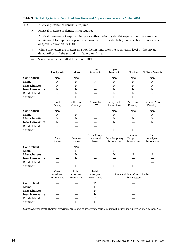# **Table 9: Dental Hygienists: Permitted Functions and Supervision Levels by State, 2001**

| <b>KEY</b>                        | D | Physical presence of dentist is required                                                                                                                                                         |  |  |  |
|-----------------------------------|---|--------------------------------------------------------------------------------------------------------------------------------------------------------------------------------------------------|--|--|--|
|                                   | N | Physical presence of dentist is not required                                                                                                                                                     |  |  |  |
| U<br>or special education by RDH. |   | Physical presence not required. No prior authorization by dentist required but there may be<br>requirement for type of cooperative arrangement with a dentist(s). Some states require experience |  |  |  |
|                                   |   | Where two letters are present in a box the first indicates the supervision level in the private<br>dental office and the second in a "safety-net" site.                                          |  |  |  |
|                                   |   | Service is not a permitted function of RDH                                                                                                                                                       |  |  |  |

|                      | Prophytaxis                             | X-Rays                                   | Local<br>Anesthesia                  | Topical<br>Anesthesia                  | Fluoride                                             | Pit/fissue Sealants                     |
|----------------------|-----------------------------------------|------------------------------------------|--------------------------------------|----------------------------------------|------------------------------------------------------|-----------------------------------------|
| Connecticut          | N/U                                     | N/U                                      |                                      | N/U                                    | N/U                                                  | N/U                                     |
| Maine                | N                                       | N                                        | $\mathbf{P}$                         | N                                      | N                                                    | N                                       |
| Massachusetts        | N                                       | N                                        |                                      | N                                      | N                                                    | N                                       |
| <b>New Hampshire</b> | N                                       | N                                        |                                      | N                                      | N                                                    | N                                       |
| Rhode Island         | N                                       | $\mathbf N$                              |                                      | N                                      | N                                                    | N                                       |
| Vermont              | $\overline{N}$                          | $\mathbf N$                              | $\mathbf{P}$                         | N                                      | N                                                    | $\mathbf N$                             |
|                      | Root<br>Planing                         | Soft Tissue<br>Cuettage                  | Administer<br>N2O                    | <b>Study Cast</b><br>Impressions       | <b>Place Perio</b><br>Dressings                      | Remove Perio<br><b>Dressings</b>        |
| Connecticut          | N/U                                     |                                          |                                      | N/U                                    | N/U                                                  | N/U                                     |
| Maine                | N                                       | N                                        |                                      | N                                      | P                                                    | N                                       |
| Massachusetts        | N                                       | N                                        |                                      | N                                      | N                                                    | N                                       |
| <b>New Hampshire</b> | $\mathbf N$                             |                                          |                                      | N                                      |                                                      | N                                       |
| Rhode Island         | $\mathbf N$                             |                                          |                                      | $\mathbf{P}$                           | $\mathbf{P}$                                         | $\overline{P}$                          |
| Vermont              | N                                       |                                          |                                      | N                                      | N                                                    | N                                       |
|                      | Place<br><b>Sutures</b>                 | Remove<br><b>Sutures</b>                 | Apply Cavity-<br>liners and<br>bases | Place Temporary<br><b>Restorations</b> | Remove<br>Temporary<br><b>Restorations</b>           | Place<br>Amalgam<br><b>Restorations</b> |
| Connecticut          |                                         | N/U                                      |                                      |                                        |                                                      |                                         |
| Maine                |                                         | $\mathbf N$                              |                                      | N                                      |                                                      |                                         |
| Massachusetts        |                                         | N                                        |                                      | N                                      | P                                                    | $\mathbf{P}$                            |
| <b>New Hampshire</b> |                                         | N                                        |                                      |                                        |                                                      |                                         |
| Rhode Island         |                                         | $\mathbf{P}$                             | $\mathbf{P}$                         | $\mathbf{P}$                           | P                                                    |                                         |
| Vermont              |                                         | N                                        |                                      | N                                      | N                                                    |                                         |
|                      | Carve<br>Amalgam<br><b>Restorations</b> | Finish<br>Amalgam<br><b>Restorations</b> | Polish<br>Amalgam<br>Restorations    |                                        | Place and Finish-Composite Resin<br>Silicate Restore |                                         |
| Connecticut          |                                         |                                          | N/U                                  |                                        |                                                      |                                         |
| Maine                |                                         |                                          | N                                    |                                        |                                                      |                                         |
| Massachusetts        |                                         |                                          | N                                    |                                        |                                                      |                                         |
| <b>New Hampshire</b> |                                         |                                          | N                                    |                                        |                                                      |                                         |
| Rhode Island         |                                         |                                          | ${\bf P}$                            |                                        |                                                      |                                         |
| Vermont              |                                         | N                                        | N                                    |                                        |                                                      |                                         |

**Source:** American Dental Hygienist Association. ADHA practice act overview chart of permitted functions and supervision levels by state. 2002.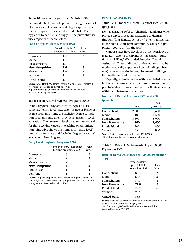#### **Table 10:** Ratio of Hygienists to Dentists 1998

Because dental hygienists provide one significant set of services and because of state legal requirements, they are typically collocated with dentists. The hygienist to dentist ratio suggests the preventive services capacity of dental offices.

#### **Ratio of Hygienists to Dentists 1998**

|                      | Dental Hygienists/<br>Dentist Ratio 1998 | Rank<br>Order |  |
|----------------------|------------------------------------------|---------------|--|
| Connecticut          | 1.2                                      | 6             |  |
| Maine                | 1.3                                      | 5             |  |
| Massachusetts        | 1.3                                      | 4             |  |
| <b>New Hampshire</b> | 1.6                                      | 3             |  |
| Rhode Island         | 1.6                                      | 2             |  |
| Vermont              | 1.7                                      | 1             |  |
| <b>United States</b> | 11                                       |               |  |

**Source:** State Health Workforce Profiles, National Center for Health Workforce Information and Analysis, 1998; http://bhpr.hrsa.gov/healthworkforce/profiles/default.htm Accessed February 20, 2002

# **Table 11:** Entry Level Hygienist Programs 2002

Dental Hygiene programs vary by type and size. Some are "entry level" associates degree or bachelor degree programs, some are bachelor degree completion programs, and a few provide a "masters" level education. The "masters" level programs are typically for those seeking careers in teaching or administration. This table shows the number of "entry level" programs (Associate and Bachelor Degree programs) available in New England.

#### **Entry Level Hygienist Programs 2002**

|                      | Number of entry level dental<br>hygiene programs 2002 | Rank<br>Order |
|----------------------|-------------------------------------------------------|---------------|
| Connecticut          | 3                                                     | 2             |
| Maine                |                                                       | 3             |
| Massachusetts        |                                                       |               |
| <b>New Hampshire</b> |                                                       | 4             |
| Rhode Island         |                                                       |               |
| Vermont              |                                                       |               |

**Source:** Degree Completion Dental Hygiene Programs, American Dental Hygienists Association, 2002; http://www.adha.org/careerinfo/degree.htm Accessed March 5, 2002.

#### **DENTAL ASSISTANTS**

**Table 12:** Number of Dental Assistants 1998 & 2008 (projected)

Dental assistants refer to "chairside" auxiliaries who provide direct procedural assistance to dentists through "four handed dentistry." Their training may be through a short-term community college or proprietary course or "on-the-job."

Various states have developed either legislative or regulatory criteria to expand dental assistant functions as "EFDAs," (Expanded Function Dental Assistants). These additional authorizations may be modest (typically exposure of dental radiographs/xrays) or extensive (including placement of fillings into teeth prepared by the dentist.)

Typically, a dentist works with one chairside assistant when serving a patient and may engage multiple chairside assistants in order to facilitate efficiency within and between operatories.

#### **Number of Dental Assistants 1998 and 2008 (projected)**

|       | 2008        |
|-------|-------------|
| 1998  | (projected) |
| 2,900 | 3,650       |
| 1,100 | 1,550       |
| 5,300 | 8,000       |
| 900   | 1.400       |
| 700   | 850         |
| 550   | 800         |
|       |             |

**Source:** State occupational projections: 1998-2008; http://slmis.dws.state.ut.us/occ/projections.asp

#### **Table 13:** Ratio of Dental Assistants per 100,000 Population 1998

#### **Ratio of Dental Assistants per 100,000 Population 1998**

|                      | <b>Dental Assistants</b><br>per 100,000<br>population 1998 | Rank<br>Order |  |
|----------------------|------------------------------------------------------------|---------------|--|
| Connecticut          | 88.3                                                       | 2             |  |
| Maine                | 87.4                                                       | 3             |  |
| Massachusetts        | 87.1                                                       | 4             |  |
| <b>New Hampshire</b> | 77.6                                                       | 5             |  |
| Rhode Island         | 72.9                                                       | 6             |  |
| Vermont              | 96.5                                                       | 1             |  |
| <b>United States</b> | 85.6                                                       |               |  |

**Source:** State Health Workforce Profiles, National Center for Health Workforce Information and Analysis, 1998; http://bhpr.hrsa.gov/healthworkforce/profiles/default.htm Accessed February 20, 2002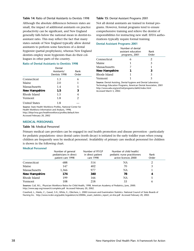**Table 14:** Ratio of Dental Assistants to Dentists 1998

Although the absolute differences between states are small, the impact of additional assistants on practice productivity can be significant, and New England generally falls below the national mean in dentist-toassistant ratio. This may reflect the fact that many states outside of New England typically allow dental assistants to perform some functions of a dental hygienist (partial prophylaxis), whereas New England dentists employ more hygienists than do their colleagues in other parts of the country.

#### **Ratio of Dental Assistants to Dentists 1998**

|                      | Dental<br>Assistants/<br>Dentists 1998 | Rank<br>Order               |  |
|----------------------|----------------------------------------|-----------------------------|--|
| Connecticut          | 1.3                                    | 6                           |  |
| Maine                | 2.0                                    | 1                           |  |
| Massachusetts        | 1.4                                    | 5                           |  |
| <b>New Hampshire</b> | 1.5                                    | 3                           |  |
| Rhode Island         | 1.5                                    | 4                           |  |
| Vermont              | 1.8                                    | $\mathcal{D}_{\mathcal{L}}$ |  |
| <b>United States</b> | 1.8                                    |                             |  |

**Source:** State Health Workforce Profiles, National Center for Health Workforce Information and Analysis, 1998; http://bhpr.hrsa.gov/healthworkforce/profiles/default.htm Accessed February 20, 2002

#### **MEDICAL PERSONNEL**

#### **Table 16:** Medical Personnel

**Table 15:** Dental Assistant Programs 2001

Not all dental assistants are trained in formal programs. However, formal programs tend to ensure comprehensive training and relieve the dentist of responsibilities for instructing new staff. EFDA authorizations typically require formal training.

#### **Dental Assistant Programs 2001**

|                      | Number of dental<br>assistant education<br>programs, 2001 | Rank<br>Order |  |
|----------------------|-----------------------------------------------------------|---------------|--|
| Connecticut          | 6                                                         | 2             |  |
| Maine                | 1                                                         | 3             |  |
| Massachusetts        |                                                           |               |  |
| <b>New Hampshire</b> |                                                           | 3             |  |
| Rhode Island         |                                                           | 3             |  |
| Vermont              |                                                           | 3             |  |

**Source:** Dental Assisting, Dental hygiene and Dental Laboratory Technology Education Programs, American Dental Association, 2001 http://www.ada.org/prof/ed/programs/dahlt/index.html Accessed March 5, 2002.

Primary medical care providers can be engaged in oral health promotion and disease prevention - particularly for pediatric populations- since dental caries (tooth decay) is initiated in the early toddler years when young children are frequently seen by medical personnel. Availability of primary care medical personnel for children is shown in the following chart.

#### **Medical Personnel**

|                      | Number of general<br>pediatricians in direct<br>patient care 1998 | Number of FP/GP<br>in direct patient<br>care 1998 | Number of child health/<br>pediatric nurse practitioners<br>active licences 2000 | Rank<br>Order |
|----------------------|-------------------------------------------------------------------|---------------------------------------------------|----------------------------------------------------------------------------------|---------------|
| Connecticut          | 688                                                               | 514                                               | NA                                                                               | 2             |
| Maine                | 147                                                               | 402                                               | 70                                                                               | 3             |
| Massachusetts        | 1,366                                                             | 977                                               | NA                                                                               |               |
| <b>New Hampshire</b> | 174                                                               | 340                                               | 78                                                                               | 4             |
| Rhode Island         | 199                                                               | 166                                               | NA                                                                               |               |
| Vermont              | 108                                                               | 218                                               | 33                                                                               | 6             |

**Sources:** Cull, W.L.. Physician Workforce Ratios for Child Health, 1998. American Academy of Pediatrics, June, 2000. http://www.aap.org/research/complete.pdf Accessed February 20, 2002.

Crawford, L.; Marks, C.; Gawel, S.H.; White, E.; Obichere, L. 2000 Licensure and Examination Statistics. National Council of State Boards of Nursing Inc. http://www.ncsbn.org/public/regulation/re/2000lic\_exam\_statistics\_report\_on-line.pdf Accessed February 20, 2002.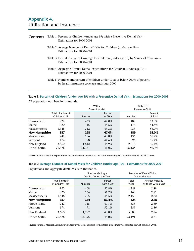# **Appendix 4.**  Utilization and Insurance

**Contents** Table 1: Percent of Children (under age 19) with a Preventive Dental Visit – Estimations for 2000-2001

- Table 2: Average Number of Dental Visits for Children (under age 19) Estimations for 2000-2001
- Table 3: Dental Insurance Coverage for Children (under age 19) by Source of Coverage Estimations for 2000-2001
- Table 4: Aggregate Annual Dental Expenditures for Children (under age 19) Estimations for 2000-2001

# **Table 1: Percent of Children (under age 19) with a Preventive Dental Visit – Estimations for 2000-2001**

All population numbers in thousands.

|                      |                                    |               | With a<br><b>Preventive Visit</b> |        | With NO<br><b>Preventive Visit</b> |  |
|----------------------|------------------------------------|---------------|-----------------------------------|--------|------------------------------------|--|
|                      | Total Number of<br>Children $<$ 19 | <b>Number</b> | Percent<br>of Total               | Number | Percent<br>of Total                |  |
| Connecticut          | 922                                | 433           | 47.0%                             | 489    | 53.0%                              |  |
| Maine                | 320                                | 145           | 45.5%                             | 174    | 54.5%                              |  |
| Massachusetts        | 1,646                              | 712           | 43.3%                             | 933    | 56.7%                              |  |
| <b>New Hampshire</b> | 357                                | 168           | 47.0%                             | 189    | 53.0%                              |  |
| Rhode Island         | 242                                | 106           | 43.8%                             | 136    | 56.2%                              |  |
| Vermont              | 174                                | 78            | 44.6%                             | 96     | 55.4%                              |  |
| New England          | 3,660                              | 1,642         | 44.9%                             | 2,018  | 55.1%                              |  |
| <b>United States</b> | 76,476                             | 31,351        | 41.0%                             | 45,125 | 59.0%                              |  |

**Source:** National Medical Expenditure Panel Survey Data, adjusted to the states' demography as reported on CPS for 2000-2001.

#### **Table 2: Average Number of Dental Visits for Children (under age 19) – Estimations for 2000-2001**

|                      |                                           |        | Number Visiting a<br>Dentist During the Year |                        | Number of Dental Visits<br>During the Year |  |
|----------------------|-------------------------------------------|--------|----------------------------------------------|------------------------|--------------------------------------------|--|
|                      | <b>Total Number</b><br>of Children $<$ 19 | Number | Percent<br>with a Visit                      | Total<br><b>Visits</b> | Average Visits by<br>by those with a Visit |  |
| Connecticut          | 922                                       | 468    | 50.8%                                        | 1,351                  | 2.88                                       |  |
| Maine                | 320                                       | 164    | 51.2%                                        | 460                    | 2.81                                       |  |
| Massachusetts        | 1,646                                     | 765    | 46.5%                                        | 2,155                  | 2.82                                       |  |
| <b>New Hampshire</b> | 357                                       | 184    | 51.4%                                        | 524                    | 2.85                                       |  |
| Rhode Island         | 242                                       | 115    | 47.7%                                        | 333                    | 2.89                                       |  |
| Vermont              | 174                                       | 91     | 52.1%                                        | 259                    | 2.86                                       |  |
| New England          | 3,660                                     | 1,787  | 48.8%                                        | 5,083                  | 2.84                                       |  |
| <b>United States</b> | 76,476                                    | 34,395 | 45.0%                                        | 93,191                 | 2.71                                       |  |

Populations and aggregate dental visits in thousands.

**Source:** National Medical Expenditure Panel Survey Data, adjusted to the states' demography as reported on CPS for 2000-2001.

Table 5: Number and percent of children under 19 at or below 200% of poverty by health insurance coverage and state: 2000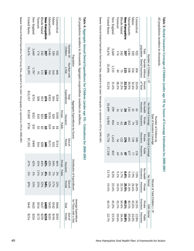|                                                                                                                                                                                          |                     |                                                                                                                              | $\vec{0}$           |              | No Dental Coverage               |                                    | With Dental          | Coverage            |                                | No Dental     |                      |                      | With Dental                       |
|------------------------------------------------------------------------------------------------------------------------------------------------------------------------------------------|---------------------|------------------------------------------------------------------------------------------------------------------------------|---------------------|--------------|----------------------------------|------------------------------------|----------------------|---------------------|--------------------------------|---------------|----------------------|----------------------|-----------------------------------|
|                                                                                                                                                                                          |                     | Number of Children <                                                                                                         |                     |              |                                  |                                    |                      |                     |                                |               |                      |                      |                                   |
|                                                                                                                                                                                          | population<br>Total | Dental Insurance<br>Number Without                                                                                           | of Total<br>Percent |              | No Health<br>Insurance           | Insurance<br>Private               | Insurance<br>Private | Insurance<br>Public | No Health<br>Insurance         |               | Insurance<br>Private | Insurance<br>Private | Insurance<br>Public               |
| Connecticut                                                                                                                                                                              | 276                 | 304                                                                                                                          | 33.0%               |              | $\mathcal{S}$                    | 239                                | 500                  | $118\,$             |                                | 7.0%          | 26.0%                | 54.2%                | $12.8\%$                          |
| <b>Maine</b>                                                                                                                                                                             | 320                 | 104                                                                                                                          | 32.4%               |              | 52                               | $\delta$                           | 139                  | $\overline{7}$      |                                | 7.9%          | 24.6%                | 43.6%                | 24.0%                             |
| Massachusetts                                                                                                                                                                            | 1,646               | 809                                                                                                                          | 30.9%               |              | 156                              | 352                                | <b>199</b>           | $477$               | 9.5%                           |               | 21.4%                | 40.1%                | 29.0%                             |
| New Hampshire                                                                                                                                                                            | 357                 | 115                                                                                                                          | $32.1\%$            |              | 72                               | $\overline{\mathbf{16}}$           | 176                  | 2 <sub>0</sub>      |                                | $6.6\%$       | 25.5%                | $49.1\%$             | $18.8\%$                          |
| Rhode Island                                                                                                                                                                             | 242                 | 75                                                                                                                           | $31.2\%$            |              | 14                               | 82                                 | 122                  | $45\,$              |                                | 5.7%          | 25.5%                | 50.4%                | $18.4\%$                          |
| Vermont                                                                                                                                                                                  | 174                 | 49                                                                                                                           | 28.3%               |              | 16                               | 33                                 | 56                   | 69                  | 9.1%                           |               | 19.2%                | 32.1%                | 39.6%                             |
| New England                                                                                                                                                                              | 3,660               | 1,155                                                                                                                        | $31.6\%$            |              | 599                              | 958                                | 1,653                | 852                 | 8.2%                           |               | 23.4%                | 45.2%                | 23.3%                             |
| <b>United States</b>                                                                                                                                                                     | 76,476              | 25,404                                                                                                                       | 33.2%               |              | 10,499                           | 14,905                             |                      |                     |                                |               |                      |                      |                                   |
|                                                                                                                                                                                          |                     | Source: National Medical Expenditure Panel Survey Data, adjusted to the states' dernography as reported on CPS for 2000-2001 |                     |              |                                  |                                    | 33,734               | 17,338              | 13.7%                          |               | 19.5%                | 44.1%                | Average Expenditure<br>22.7%      |
| All population numbers in thousands. Aggregate exependiture numbers in millions<br>Table 4: Aggregate Annual Dental Expenditures for Children (under age 19) - Estimations for 2000-2001 | Number Of           | Population<br>Number with                                                                                                    |                     | Total        | Aggregate Expenditures by Source |                                    | Out-of-              |                     | Distribution of Expenditures   | Out-of-       |                      |                      | for Those with a Visit<br>Out-of- |
|                                                                                                                                                                                          | Children            | a Visit                                                                                                                      |                     | Expenditures | Private                          | Insurance<br>Public                | Pocket               |                     | Private<br>Insurance<br>Public | Pocket        |                      | Total                | Pocket                            |
|                                                                                                                                                                                          |                     |                                                                                                                              |                     |              |                                  |                                    |                      |                     |                                |               |                      |                      |                                   |
|                                                                                                                                                                                          | 226                 | 468                                                                                                                          |                     | 812\$        | 001\$                            | $\frac{4}{4}$                      | \$114                |                     | 46%<br>2%                      | 52%           |                      | \$466                | \$243                             |
|                                                                                                                                                                                          | 320                 | 164                                                                                                                          |                     | 95\$         | 07\$                             | $\mathbf{A}$                       |                      | \$32                | 36%<br>7%                      | 57%           |                      | \$342                | \$194                             |
|                                                                                                                                                                                          | 1,646               | 765                                                                                                                          |                     | \$325        | \$136                            | 6I\$                               | 171                  |                     | 42%<br>$4\%$<br>969            | $54\%$<br>52% |                      | \$425                | \$223                             |
|                                                                                                                                                                                          | 357                 | 184                                                                                                                          |                     | 574          | £31                              | $\mathbf{\hat{S}}$                 |                      | 015                 | $42\%$                         |               |                      | 8403                 | 6178                              |
|                                                                                                                                                                                          | $174\,$<br>242      | 11S<br>$\overline{5}$                                                                                                        |                     | 82\$<br>\$53 | $01\frac{1}{2}$<br>\$23          | $\mathfrak{L}3$<br>$\mathfrak{F}2$ |                      | \$16<br>82\$        | 35%<br>44%<br>$11\%$<br>3%     | 52%<br>55%    |                      | \$314<br>\$457       | \$239<br>2172                     |
| New England<br>New Hampshire<br>Massachusetts<br><b>Maine</b><br>Vermont<br>Rhode Island<br>Connecticut                                                                                  | 3,660               | 1,787                                                                                                                        |                     | \$752        | \$321                            | \$35                               | 00+\$                |                     | 42%<br>5%                      | 53%           |                      | 2422                 | \$224                             |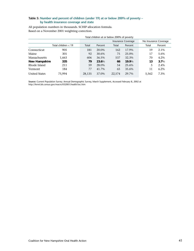#### **Table 5: Number and percent of children (under 19) at or below 200% of poverty – by health insurance coverage and state**

All population numbers in thousands. SCHIP allocation formula. Based on a November 2001 weighting correction.

|                      |                       |        |         | Total children at or below 200% of poverty |                           |       |                       |
|----------------------|-----------------------|--------|---------|--------------------------------------------|---------------------------|-------|-----------------------|
|                      |                       |        |         |                                            | <b>Insurance Coverage</b> |       | No Insurance Coverage |
|                      | Total children $<$ 19 | Total  | Percent | Total                                      | Percent                   | Total | Percent               |
| Connecticut          | 905                   | 181    | 20.0%   | 162                                        | 17.9%                     | 19    | 2.1%                  |
| Maine                | 301                   | 92     | 30.6%   | 75                                         | 25.0%                     | 17    | 5.6%                  |
| <b>Massachusetts</b> | 1,663                 | 606    | 36.5%   | 537                                        | 32.3%                     | 70    | 4.2%                  |
| <b>New Hampshire</b> | 335                   | 79     | 23.6%   | 66                                         | 19.9%                     | 13    | $3.7\%$               |
| Rhode Island         | 211                   | 59     | 28.0%   | 54                                         | 25.6%                     | 5     | 2.4%                  |
| Vermont              | 184                   | 77     | 41.7%   | 65                                         | 35.6%                     | 11    | 6.2%                  |
| <b>United States</b> | 75,994                | 28,135 | 37.0%   | 22,574                                     | 29.7%                     | 5,562 | 7.3%                  |

**Source:** Current Population Survey. Annual Demographic Survey, March Supplement, Accessed February 8, 2002 at http://ferret.bls.census.gov/macro/032001/health/toc.htm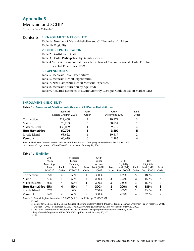# **Appendix 5.**  Medicaid and SCHIP

Prepared by David M. Krol, M.D.

#### **Contents 1. ENROLLMENT & ELIGIBILITY**

Table 1a. Number of Medicaid-eligible and CHIP-enrolled Children Table 1b. Eligibility

#### **2. DENTIST PARTICIPATION**

Table 2. Dentist Participation

- Table 3. Dental Participation by Reimbursement
- Table 4 Medicaid Payment Rates as a Percentage of Average Regional Dental Fees for Selected Procedures, 1999

#### **3. EXPENDITURES**

- Table 5. Medicaid Total Expenditures
- Table 6. Medicaid Dental Expenditures
- Table 7. New Hampshire Dental Medicaid Expenses.
- Table 8. Medicaid Utilization by Age 1998

Table 9. Actuarial Estimates of SCHIP Monthly Costs per Child Based on Market Rates

#### **ENROLLMENT & ELIGIBILITY**

#### **Table 1a: Number of Medicaid-eligible and CHIP-enrolled children**

|                      | Medicaid<br>Eligible Children 2000 | Rank<br>Order | <b>CHIP</b><br>Enrollment 2000 | Rank<br>Order |
|----------------------|------------------------------------|---------------|--------------------------------|---------------|
| Connecticut          | 217,468                            |               | 10,572                         | 3             |
| Maine                | 78,283                             | 3             | 60,854                         |               |
| Massachusetts        | 435,059                            |               | 9,519                          | 4             |
| <b>New Hampshire</b> | 60,794                             | 5             | 3,897                          | 5             |
| Rhode Island         | 65,622                             | 4             | 10,619                         | 2             |
| Vermont              | 60,629                             | 6             | 2,485                          | 6             |

**Source:** The Kaiser Commission on Medicaid and the Uninsured. CHIP program enrollment: December, 2000. http://www.kff.org/content/2001/4005/4005.pdf Accessed February 20, 2002.

#### **Table 1b: Eligibility**

|                   | <b>CHIP</b>         |       | Medicaid            |       | <b>CHIP</b>       |       |                        |       |              |       |
|-------------------|---------------------|-------|---------------------|-------|-------------------|-------|------------------------|-------|--------------|-------|
|                   | Federal             |       | Federal             |       | upper             |       | <b>CHIP</b>            |       | <b>CHIP</b>  |       |
|                   | Matching            |       | Matching            |       | income            |       | Eligibility            |       | Eligibility  |       |
|                   | Rate                | Rank  | Rate                | Rank  | limit (%FPL)      | Rank  | level $(0-1)$          | Rank  | level (1-19) | Rank  |
|                   | FY2002 <sup>1</sup> | Order | FY2002 <sup>2</sup> | Order | 2001 <sup>3</sup> | Order | Dec. 2000 <sup>4</sup> | Order | Dec. $20005$ | Order |
| Connecticut       | 65%                 | 4     | 50%                 | 4     | 300%              |       | 185%                   | 5     | 185%         | 3     |
| Maine             | 77%                 |       | 50%                 | 4     | 200%              | 3     | 250%                   | 2     | 150%         | 4     |
| Massachusetts     | 65%                 | 4     | 67%                 |       | 200%              | 3     | 225%                   | 3     | 150%         | 4     |
| New Hampshire 65% |                     | 4     | 50%                 | 4     | 300%              |       | 200%                   | 4     | 185%         | 3     |
| Rhode Island      | 67%                 | 3     | 52%                 | 3     | 250%              | 2     | 300%                   |       | 250%         |       |
| Vermont           | 74%                 | 2     | 63%                 | 2     | 300%              |       | 200%                   | 4     | 225%         | 2     |
|                   |                     |       |                     |       |                   |       |                        |       |              |       |

**Source:** 1. Federal Register, November 17, 2000 (Vol. 65, No. 223), pp. 69560-69561.

2. Ibid.

3. Center for Medicare and Medicaid Services. The State Children's Health Insurance Program Annual Enrollment Report fiscal year 2001: October 1, 2000 - September 30, 2001. http://www.hcfa.gov/init/schip01.pdf Accessed February 20, 2002.

4 The Kaiser Commission on Medicaid and the Uninsured. CHIP program enrollment: December, 2000.

http://www.kff.org/content/2001/4005/4005.pdf Accessed February 20, 2002.

5.: Ibid.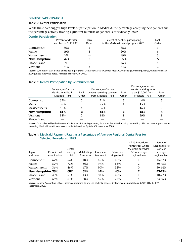#### **DENTIST PARTICIPATION**

#### **Table 2:** Dentist Participation

While these data suggest high levels of participation in Medicaid, the percentage accepting new patients and the percentage actively treating significant numbers of patients is considerably lower.

#### **Dentist Participation**

|                      | Percent of dentists<br>enrolled in CHIP 2001 | Rank<br>Order | Percent of dentists participating<br>in the Medicaid dental program 2001 | Rank<br>Order |
|----------------------|----------------------------------------------|---------------|--------------------------------------------------------------------------|---------------|
| Connecticut          | 86%                                          |               | 88%                                                                      |               |
| Maine                | 49%                                          | 4             | 20%                                                                      | 6             |
| Massachusetts        | NR                                           |               | 49%                                                                      | 3             |
| <b>New Hampshire</b> | 76%                                          | 3             | 35%                                                                      |               |
| Rhode Island         | NR                                           |               | 46%                                                                      | 4             |
| Vermont              | 84%                                          |               | 84%                                                                      |               |

**Source:** Synopses of state dental public health programs, Center for Disease Control. http://www2.cdc.gov/nccdphp/doh/synopses/index.asp 2000 (unless otherwise noted) Accessed February 20, 2002.

#### **Table 3: Dental Participation by Reimbursement**

|                      | Percentage of active<br>dentists enrolled in<br>Medicaid 1998 | Rank<br>Order | Percentage of active<br>dentists receiving payment<br>from Medicaid 1998 | Rank<br>Order | Percentage of active<br>dentists receiving more<br>than \$10,000 from<br>Medicaid 1998 | Rank<br>Order |  |
|----------------------|---------------------------------------------------------------|---------------|--------------------------------------------------------------------------|---------------|----------------------------------------------------------------------------------------|---------------|--|
| Connecticut          | 32%                                                           |               | 21\%                                                                     |               | $4\%$                                                                                  | 5             |  |
| Maine                | 96%                                                           |               | 25%                                                                      | 4             | 15%                                                                                    | 3             |  |
| Massachusetts        | 61%                                                           | 4             | 56%                                                                      | 2             | 16%                                                                                    | 2             |  |
| <b>New Hampshire</b> | 81%                                                           | 3             | 55%                                                                      | 3             | 15%                                                                                    | 4             |  |
| Vermont              | 88%                                                           | 2             | 88%                                                                      |               | 39%                                                                                    |               |  |
| Rhode Island         |                                                               |               |                                                                          |               |                                                                                        |               |  |

**Source:** Data collected by the National Conference of State Legislatures, Forum for State Health Policy Leadership; 1999. In States approaches to increasing Medicaid beneficiaries access to dental services, Epstein, CA November 2000.

#### **Table 4: Medicaid Payment Rates as a Percentage of Average Regional Dental Fees for Selected Procedures, 1999**

| Region<br>and state  | Periodic oral<br>examination | Dental<br>cleaning<br>child | Metal filling,<br>2 surfaces | Root canal,<br>treatment | Extraction,<br>single tooth | Of 15 Procedures<br>number for which<br>Medicaid exceeded<br>$2/3$ of average<br>regional fees | Range of<br>Medicaid rates<br>as % of<br>average<br>regional fees |
|----------------------|------------------------------|-----------------------------|------------------------------|--------------------------|-----------------------------|------------------------------------------------------------------------------------------------|-------------------------------------------------------------------|
| Connecticut          | 67%                          | 52%                         | 48%                          | 46%                      | 46%                         |                                                                                                | 45-67%                                                            |
| Maine                | 52%                          | 72%                         | 56%                          | 49%                      | 63%                         | 2                                                                                              | 50-75%                                                            |
| Massachusetts        | 36%                          | 46%                         | 47%                          | 30%                      | 52%                         | $\Omega$                                                                                       | 30-64%                                                            |
| <b>New Hampshire</b> | 73%                          | 68%                         | 61%                          | 44%                      | 46%                         | 2                                                                                              | 43-73%                                                            |
| Rhode Island         | 40%                          | 53%                         | 43%                          | 58%                      | 45%                         | 1                                                                                              | 40-77%                                                            |
| Vermont              | 68%                          | 63%                         | 68%                          | 65%                      | 75%                         | 5                                                                                              | 53-85%                                                            |

**Source:** General Accounting Office. Factors contributing to low use of dental services by low-income populations. GAO/HEHS-00-149. September, 2000.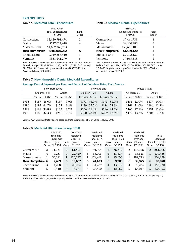#### **EXPENDITURES**

#### **Table 5: Medicaid Total Expenditures**

|                      | <b>MEDICAID</b><br><b>Total Expenditures</b><br>FY1998 | Rank<br>Order |
|----------------------|--------------------------------------------------------|---------------|
| Connecticut          | \$2,420,791,474                                        | 2             |
| Maine                | \$747,027,618                                          | 4             |
| Massachusetts        | \$4,609,360,933                                        | 1             |
| <b>New Hampshire</b> | \$606.004.232                                          | 5             |
| Rhode Island         | \$919,353,410                                          | 3             |
| Vermont              | \$351,341,290                                          | 6             |

**Source:** Health Care Financing Administration. HCFA-2082 Reports for Federal Fiscal year 1998, HCFA, CMSO, HCFA, 2082 REPORT, January 27, 2000. http://www.hcfa.gov/medicaid/msis/2082%D98.htm Accessed February 20, 2002.

#### **Table 6: Medicaid Dental Expenditures**

|                      | <b>MEDICAID</b>               |               |  |
|----------------------|-------------------------------|---------------|--|
|                      | Dental Expenditures<br>FY1998 | Rank<br>Order |  |
| Connecticut          | \$7,461,733                   | 4             |  |
| Maine                | \$4,500,980                   | 6             |  |
| Massachusetts        | \$53,661,108                  | 1             |  |
| <b>New Hampshire</b> | \$4.589.120                   | 5             |  |
| Rhode Island         | \$9,372,139                   | 2             |  |
| Vermont              | \$7,965,583                   | 3             |  |

Source: Health Care Financing Administration. HCFA-2082 Reports for Federal Fiscal Year 1998, HCFA, CMSO, HCFA-2082 REPORT, January 27, 2000. http://www.hcfa.gov/medicaid/msis/2082%D98.htm Accessed February 20, 2002.

#### **Table 7: New Hampshire Dental Medicaid Expenditures**

#### **Average Dental Payment per User and Percent of Enrollees Using Each Service**

|      |                 | New Hampshire  |                 | New England    | <b>United States</b> |                |  |
|------|-----------------|----------------|-----------------|----------------|----------------------|----------------|--|
|      | Children $<$ 21 | Adults         | Children $<$ 21 | <b>Adults</b>  | Children $<$ 21      | Adults         |  |
|      | Per-user % Use  | Per-user % Use | Per-user % Use  | Per-user % Use | Per-user % Use       | Per-user % Use |  |
| 1995 | 46.0%<br>\$187  | \$159<br>9.0%  | \$173 43.0%     | \$193 31.0%    | \$151 22.0%          | \$177 14.0%    |  |
| 1996 | 44.7%<br>\$195  | \$153<br>8.5%  | \$159 37.7%     | \$184 28.8%    | \$161 21.0%          | \$186 12.8%    |  |
| 1997 | 36.8%<br>\$197  | \$173<br>7.2%  | $$164$ 27.3%    | \$186 24.6%    | \$166 17.5%          | \$191<br>11.0% |  |
| 1998 | \$185 37.3%     | \$246 12.7%    | \$170 23.1%     | \$209 17.6%    | \$172 13.7%          | \$204<br>7.7%  |  |

**Source:** AAP Medicaid State Reports based on State submissions of form 2082 to HCFA/CMS.

#### **Table 8: Medicaid Utilization by Age 1998**

|                 | Rank<br>Order | Medicaid<br>recipients<br>under age<br>year,<br><b>FY 1998</b> | Rank<br>Order | Medicaid<br>recipients<br>ages 1-5<br>years,<br>FY1998 | Rank<br>Order | Medicaid<br>recipients<br>ages 6-14<br>years,<br>FY1998 | Rank<br>Order | Medicaid<br>recipients<br>ages 15-20<br>years,<br>FY1998 | Rank<br>Order | Medicaid<br>recipients<br>over age<br>20 years<br>FY 1998 | Order | Total<br>Medicaid<br>Rank Recipients<br><b>FY1998</b> |
|-----------------|---------------|----------------------------------------------------------------|---------------|--------------------------------------------------------|---------------|---------------------------------------------------------|---------------|----------------------------------------------------------|---------------|-----------------------------------------------------------|-------|-------------------------------------------------------|
| Connecticut     | 2             | 11,337                                                         | 2             | 61,527                                                 | 2             | 91,304                                                  | 2             | 38,712                                                   | 2             | 178,328                                                   | 2     | 381,208                                               |
| Maine           | 4             | 4,257                                                          | 4             | 22,420                                                 | 3             | 36,703                                                  | 3             | 18,827                                                   | 3             | 86,525                                                    | 3     | 170,456                                               |
| Massachusetts   |               | 36,321                                                         | 1             | 126,727                                                |               | 178,469                                                 |               | 79,006                                                   |               | 487,715                                                   |       | 908,238                                               |
| New Hampshire 6 |               | 2,499                                                          | $\mathbf 5$   | 16,657                                                 | 6             | 24.433                                                  | 6             | 9,903                                                    | 6             | 39.975                                                    | 6     | 93,970                                                |
| Rhode Island    | 3             | 4,288                                                          | 3             | 25,004                                                 | 4             | 34,289                                                  | 4             | 13,617                                                   | 4             | 73,234                                                    | 4     | 153,130                                               |
| Vermont         | 5             | 2,410                                                          | 6             | 15,757                                                 | 5             | 26,550                                                  | 5             | 12,569                                                   | 5             | 65,047                                                    | 5     | 123,992                                               |

**Source:** Health Care Financing Administration. HCFA-2082 Reports for Federal Fiscal Year 1998, HCFA, CMSO, HCFA, 2082 REPORT, January 27, 2000. http://www.hcfa.gov/medicaid/msis/2082%2D98.htm Accessed February 20, 2002.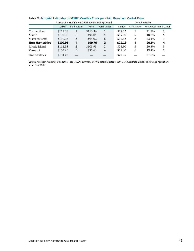|                      |          | Comprehensive Benefits Package Including Dental |          |                | <b>Dental Benefits</b> |            |       |                     |
|----------------------|----------|-------------------------------------------------|----------|----------------|------------------------|------------|-------|---------------------|
|                      | Urban    | Rank Order                                      | Rural    | Rank Order     | Dental                 | Rank Order |       | % Dental Rank Order |
| Connecticut          | \$119.36 |                                                 | \$113.36 |                | \$25.62                |            | 21.5% | 2                   |
| Maine                | \$105.96 | 5                                               | \$94.05  | 5              | \$19.80                | 5          | 18.7% | 6                   |
| Massachusetts        | \$110.98 | 3                                               | \$94.02  | 6              | \$25.62                | 2          | 23.1% |                     |
| <b>New Hampshire</b> | \$109.95 | $\boldsymbol{4}$                                | \$99.76  | 3              | <b>S22.13</b>          | 4          | 20.1% | 4                   |
| Rhode Island         | \$111.95 | 2                                               | \$105.93 | 2              | \$23.30                | 3          | 20.8% | 3                   |
| Vermont              | \$102.27 | 6                                               | \$95.63  | $\overline{4}$ | \$19.80                | 6          | 19.4% |                     |
| <b>United States</b> | \$101.47 |                                                 |          |                | \$21.35                |            | 21.0% |                     |

# **Table 9: Actuarial Estimates of SCHIP Monthly Costs per Child Based on Market Rates**

**Source:** American Academy of Pediatrics (paper): AAP summary of 1998 Total Projected Health Care Cost State & National Average Population: 0 - 21 Year Olds.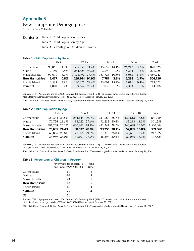# **Appendix 6.**  New Hampshire Demographics

Prepared by David M. Krol, M.D.

# **Contents** Table 1: Child Population by Race Table 2: Child Population by Age Table 3: Percentage of Children in Poverty

# **Table 1: Child Population by Race**

|                      |        | <b>Black</b> | White         |       | <b>Hispanic</b> |       | Other  |         | Total     |
|----------------------|--------|--------------|---------------|-------|-----------------|-------|--------|---------|-----------|
| Connecticut          | 93.061 | 11.3%        | 585.559       | 71.4% | 115.659         | 14.1% | 26.247 | $3.2\%$ | 820,526   |
| Maine                | 2.450  | $0.8\%$      | 284.824 96.2% |       | 3.590           | 1.2%  | 5.364  | 1.8%    | 296,228   |
| Massachusetts        | 97.671 | $6.7\%$      | 1,128,792     | 77.4% | 157.726         | 10.8% | 75.053 | 5.1%    | 1,459,242 |
| <b>New Hampshire</b> | 2.477  | $0.8\%$      | 289.164 94.9% |       | 7.787           | 2.6%  | 5.288  | 1.7%    | 304.716   |
| Rhode Island         | 13.585 | 5.9%         | 180.075       | 78.4% | 35.002          | 15.2% | 1.011  | $0.4\%$ | 229,673   |
| Vermont              | 1.020  | $0.7\%$      | 139.667       | 96.4% | 1.836           | 1.3%  | 2.383  | 1.6%    | 144,906   |

Sources: QT-P1. Age groups and sex: 2000. Census 2000 Summary File 1 (SF1) 100 percent data. United States Census Bureau. http://factfinder.census.gov/servlet/QTTable? ts=32352659041 Accessed February 20, 2002.

2001 Kids Count Databook Online. Annie E. Casey Foundation, http://www.aecf.org/kidscount/kc2001/ Accessed February 20, 2002.

#### **Table 2: Child Population by Age**

|                      | Under 5       |               | $5$ to 9 | 10 to 14      | 15 to 18      | Total     |
|----------------------|---------------|---------------|----------|---------------|---------------|-----------|
| Connecticut          | 223,344 26.5% | 244,144 29.0% |          | 241,587 28.7% | 132,613 15.8% | 841,688   |
| Maine                | 70,726 23.5%  | 83,022 27.6%  |          | 92,252 30.6%  | 55,238 18.3%  | 301,238   |
| Massachusetts        | 397.268 26.5% | 430,861 28.7% |          | 431.247 28.7% | 240,688 16.0% | 1,500,064 |
| <b>New Hampshire</b> | 75.685 24.4%  | 88,537 28.6%  |          | 93,255 30.1%  | 52,085 16.8%  | 309,562   |
| Rhode Island         | 63,896 25.8%  | 71,905 29.0%  |          | 71,370 28.8%  | 40,651 16.4%  | 247,822   |
| Vermont              | 33,989 23.0%  | 41,101 27.9%  |          | 45,397 30.8%  | 27,036 18.3%  | 147,523   |

Sources: QT-P1. Age groups and sex: 2000. Census 2000 Summary File 1 (SF1) 100 percent data. United States Census Bureau. http://factfinder.census.gov/servlet/QTTable? ts=32352659041 Accessed February 20, 2002.

2001 Kids Count Databook Online. Annie E. Casey Foundation, http://www.aecf.org/kidscount/kc2001/ Accessed February 20, 2002.

#### **Table 3: Percentage of Children in Poverty**

|                      | Poverty rate for children 18<br>and under 1999-2000 (%) | Rank<br>Order |  |
|----------------------|---------------------------------------------------------|---------------|--|
| Connecticut          | 11                                                      | 6             |  |
| Maine                | 16                                                      | 3             |  |
| Massachusetts        | 23                                                      |               |  |
| <b>New Hampshire</b> | 12                                                      | 5             |  |
| Rhode Island         | 16                                                      | 4             |  |
| Vermont              | 21                                                      | 2             |  |
| US.                  | 21                                                      |               |  |

Sources: QT-P1. Age groups and sex: 2000. Census 2000 Summary File 1 (SF1) 100 percent data. United States Census Bureau. http://factfinder.census.gov/servlet/QTTable? ts=32352659041 Accessed February 20, 2002.

2001 Kids Count Databook Online. Annie E. Casey Foundation, http://www.aecf.org/kidscount/kc2001/ Accessed February 20, 2002.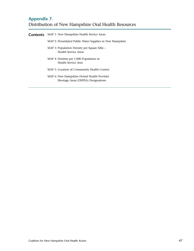# **Appendix 7.**  Distribution of New Hampshire Oral Health Resources

| <b>Contents</b> | MAP 1: New Hampshire Health Service Areas                                          |
|-----------------|------------------------------------------------------------------------------------|
|                 | MAP 2: Flouridated Public Water Supplies in New Hampshire                          |
|                 | MAP 3: Population Density per Square Mile –<br>Health Service Areas                |
|                 | MAP 4: Dentists per 1,000 Population in<br>Health Service Area                     |
|                 | MAP 5: Location of Community Health Centers                                        |
|                 | MAP 6: New Hampshire Dental Health Provider<br>Shortage Areas (DHPSA) Designations |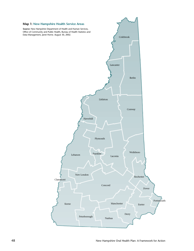#### **Map 1: New Hampshire Health Service Areas**

**Source:** New Hampshire Department of Health and Human Services, Office of Community and Public Health, Bureau of Health Statistics and Data Management, Janet Horne. August 30, 2002.

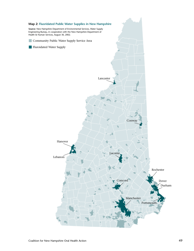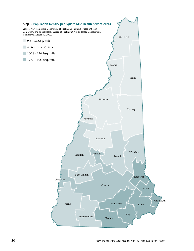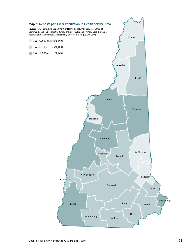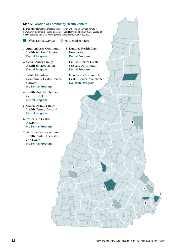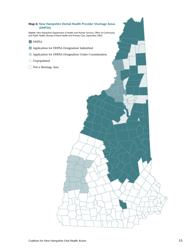